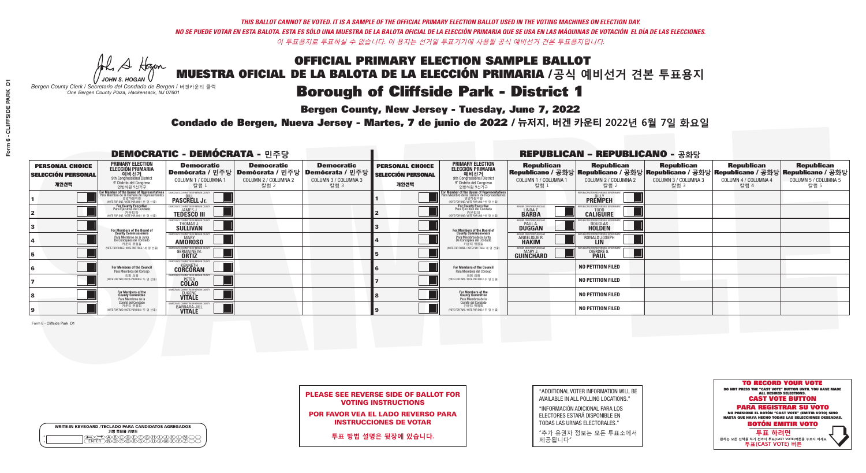**Bergen County, New Jersey - Tuesday, June 7, 2022** 

A Hogen *JOHN S. HOGAN*

|   | <b>WRITE-IN KEYBOARD /TECLADO PARA CANDIDATOS AGREGADOS</b><br>기명 투표용 키보드 |
|---|---------------------------------------------------------------------------|
| o | B)C)DE)F)G)H)                                                             |
| o | <b>፞ዀዂዂጞጞ</b>                                                             |

*Bergen County Clerk / Secretario del Condado de Bergen /* 버겐카운티 클럭 *One Bergen County Plaza, Hackensack, NJ 07601*



PLEASE SEE REVERSE SIDE OF BALLOT FOR VOTING INSTRUCTIONS

POR FAVOR VEA EL LADO REVERSO PARA INSTRUCCIONES DE VOTAR

**투표 방법 설명은 뒷장에 있습니다.**

"ADDITIONAL VOTER INFORMATION WILL BE AVAILABLE IN ALL POLLING LOCATIONS."

"INFORMACIÓN ADICIONAL PARA LOS ELECTORES ESTARÁ DISPONIBLE EN TODAS LAS URNAS ELECTORALES."

"추가 유권자 정보는 모든 투표소에서 제공됩니다"

Condado de Bergen, Nueva Jersey - Martes, 7 de junio de 2022 / 뉴저지, 버겐 카운티 2022년 6월 7일 화요일 *One Bergen County Plaza, Hackensack, NJ 07601*

|                                                             |                                                                                                                                                   |                                                                     |                                                   | <b>REPUBLICAN - REPUBLICANO - 공화당</b>                                                                  |                                                             |                                                                                                                                               |                                                               |                                                                                                                                                |                                                   |                                                   |                                                   |
|-------------------------------------------------------------|---------------------------------------------------------------------------------------------------------------------------------------------------|---------------------------------------------------------------------|---------------------------------------------------|--------------------------------------------------------------------------------------------------------|-------------------------------------------------------------|-----------------------------------------------------------------------------------------------------------------------------------------------|---------------------------------------------------------------|------------------------------------------------------------------------------------------------------------------------------------------------|---------------------------------------------------|---------------------------------------------------|---------------------------------------------------|
| <b>PERSONAL CHOICE</b><br><b>SELECCIÓN PERSONAL</b><br>개인선택 | <b>PRIMARY ELECTION</b><br><b>ELECCIÓN PRIMARIA</b><br>예비선거<br>애비선거<br>9° Distrito del Congreso<br>연방하원 9선거구                                      | <b>Democratic</b><br>COLUMN 1 / COLUMNA 1<br>칼럼 :                   | <b>Democratic</b><br>COLUMN 2 / COLUMNA 2<br>칼럼 2 | <b>Democratic</b><br>│Demócrata / 민주당│Demócrata / 민주당│Demócrata / 민주당┃<br>COLUMN 3 / COLUMNA 3<br>칼럼 3 | <b>PERSONAL CHOICE</b><br><b>SELECCIÓN PERSONAL</b><br>개인선택 | <b>PRIMARY ELECTION</b><br>ELECCIÓN PRIMARIA<br>예비선거<br>9th Congressional District<br>9° Distrito del Congreso<br>연방하원 9선거구                   | <b>Republican</b><br>COLUMN 1 / COLUMNA 1<br>칼럼               | <b>Republican</b><br>Republicano / 공화당 Republicano / 공화당 Republicano / 공화당 Republicano / 공화당 Republicano / 공화당<br>COLUMN 2 / COLUMNA 2<br>칼럼 2 | <b>Republican</b><br>COLUMN 3 / COLUMNA 3<br>칼럼 3 | <b>Republican</b><br>COLUMN 4 / COLUMNA 4<br>칼럼 4 | <b>Republican</b><br>COLUMN 5 / COLUMNA 5<br>칼럼 5 |
|                                                             | <b>r Member of the House of Representatives</b><br>ara Miembro de la Cámara de Representantes<br>연방하원의원<br>(VOTE FOR ONE / VOTE POR UNO / 한 명 선출) | DEMOCRATIC COMMITTEE OF BERGEN C<br><b>PASCRELL Jr.</b>             |                                                   |                                                                                                        |                                                             | For Member of the House of Representatives<br>Para Miembro de la Cámara de Representantes<br>연방하원의원<br>(VOTE FOR ONE / VOTE POR UNO / 한 명 선출) |                                                               | PUBLICANS FOR RESPONSIBLE GOVERNI<br><b>PREMPEH</b>                                                                                            |                                                   |                                                   |                                                   |
|                                                             | <b>For County Executive</b><br>Para Ejecutivo del Condado<br>가운티장<br>(VOTE FOR ONE / VOTE POR UNO / 한 명 선출)                                       | DEMOCRATIC COMMITTEE OF BERGEN COUNTY<br><b>TEDESCO III</b>         |                                                   |                                                                                                        |                                                             | For County Executive<br>Para Ejecutivo del Condado<br>. 카운티장<br>(VOTE FOR ONE / VOTE POR UNO / 한 명 선출)                                        | BERGEN COUNTY REPUBLICAN<br><b>LINDAT</b><br><b>BARBA</b>     | <b>CALIGUIRE</b>                                                                                                                               |                                                   |                                                   |                                                   |
|                                                             | <b>For Members of the Board of<br/>County Commissioners</b>                                                                                       | MOCRATIC COMMITTEE OF BERGEN COUNTY<br>THOMAS J.                    |                                                   |                                                                                                        |                                                             | For Members of the Board of<br>County Commissioners                                                                                           | ERGEN COUNTY REPUBLICAN<br><b>PAUL A.</b><br><b>DUGGAN</b>    | <b>DOUGLAS</b><br><b>HOLDEN</b>                                                                                                                |                                                   |                                                   |                                                   |
|                                                             | Para Miembros de la Junta<br>De Concejales del Condado<br>카우티 위원들                                                                                 | MOCRATIC COMMITTEE OF BERGEN COUNTY<br><b>AMOROSO</b>               |                                                   |                                                                                                        |                                                             | Para Miembros de la Junta<br>De Concejales del Condado<br>카우티 위원들                                                                             | ERGEN COUNTY REPUBLICAN<br><b>ANGELIQUE F</b><br><b>HAKIM</b> | RONALD JOSEPH                                                                                                                                  |                                                   |                                                   |                                                   |
|                                                             | (VOTE FOR THREE / VOTE POR TRES / 세 명 선출)                                                                                                         | ATIC COMMITTEE OF BERGEN COUN<br><b>GERMAINE M.</b><br><b>ORTIZ</b> |                                                   |                                                                                                        |                                                             | (VOTE FOR THREE / VOTE POR TRES / 세 명 선출)                                                                                                     | ERGEN COUNTY REPUBLICANS<br>MARY J<br>GUINCHARD               | DIERDRE G                                                                                                                                      |                                                   |                                                   |                                                   |
|                                                             | <b>For Members of the Council</b><br>Para Miembros del Conceio                                                                                    | MOCRATIC COMMITTEE OF BERGEN COUNT<br><b>CORCORAN</b>               |                                                   |                                                                                                        |                                                             | <b>For Members of the Council</b><br>Para Miembros del Concejo                                                                                |                                                               | <b>NO PETITION FILED</b>                                                                                                                       |                                                   |                                                   |                                                   |
|                                                             | 의회 의원<br>(VOTE FOR TWO / VOTE POR DOS / 두 명 선출)                                                                                                   | EMOCRATIC COMMITTEE OF BERGEN COUNTY<br><b>COLAO</b>                |                                                   |                                                                                                        |                                                             | 의회 의원<br>NOTE FOR TWO / VOTE POR DOS / 두 명 선출)                                                                                                |                                                               | <b>NO PETITION FILED</b>                                                                                                                       |                                                   |                                                   |                                                   |
|                                                             | For Members of the<br>County Committee<br>Para Miembros de la                                                                                     | <b>RATIC COMMITTEE OF BERGEN (</b><br><b>EUGENE</b>                 |                                                   |                                                                                                        |                                                             | For Members of the<br>County Committee<br>Para Miembros de la<br>Comité del Condado                                                           |                                                               | <b>NO PETITION FILED</b>                                                                                                                       |                                                   |                                                   |                                                   |
|                                                             | Comité del Condado<br>카운티 위원회<br>(VOTE FOR TWO / VOTE POR DOS / 두 명 선출)                                                                           | RATIC COMMITTEE OF BERGEN C<br>BARBARA-JILL                         |                                                   |                                                                                                        |                                                             | 카운티 위원회<br>(VOTE FOR TWO / VOTE POR DOS / 두 명 선출)                                                                                             |                                                               | <b>NO PETITION FILED</b>                                                                                                                       |                                                   |                                                   |                                                   |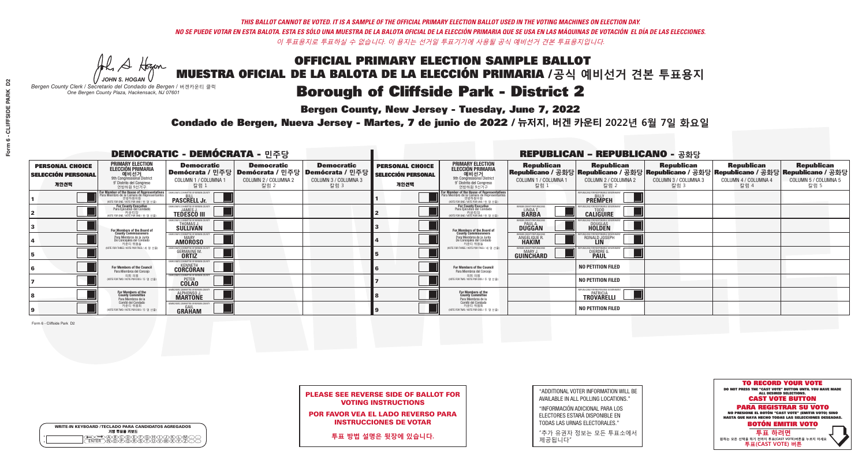**Bergen County, New Jersey - Tuesday, June 7, 2022** 

A Hogen *JOHN S. HOGAN*

| <b>WRITE-IN KEYBOARD /TECLADO PARA CANDIDATOS AGREGADOS</b><br>기명 투표용 키보드 |  |
|---------------------------------------------------------------------------|--|
| )B)C)D(E)(F)(G)(A)(<br>o<br><b>\@@\R\\$\7\</b><br>$\circ$                 |  |

*Bergen County Clerk / Secretario del Condado de Bergen /* 버겐카운티 클럭 *One Bergen County Plaza, Hackensack, NJ 07601*



| <b>PLEASE SEE REVERSE SIDE OF BALLOT FOR</b> |  |
|----------------------------------------------|--|
| <b>VOTING INSTRUCTIONS</b>                   |  |

POR FAVOR VEA EL LADO REVERSO PARA INSTRUCCIONES DE VOTAR

**투표 방법 설명은 뒷장에 있습니다.**

| "ADDITIONAL VOTER INFORMATION WILL BE |
|---------------------------------------|
| AVAILABLE IN ALL POLLING LOCATIONS."  |

"INFORMACIÓN ADICIONAL PARA LOS ELECTORES ESTARÁ DISPONIBLE EN TODAS LAS URNAS ELECTORALES."

"추가 유권자 정보는 모든 투표소에서 제공됩니다"

Condado de Bergen, Nueva Jersey - Martes, 7 de junio de 2022 / 뉴저지, 버겐 카운티 2022년 6월 7일 화요일 *One Bergen County Plaza, Hackensack, NJ 07601*

|                                                             |                                                                                                                                                    |                                                                                                      |                                                   | <b>REPUBLICAN - REPUBLICANO - 공화당</b>             |                                                             |                                                                                                                                    |                                                                      |                                                                                                                                                |                                                   |                                                   |                                                   |
|-------------------------------------------------------------|----------------------------------------------------------------------------------------------------------------------------------------------------|------------------------------------------------------------------------------------------------------|---------------------------------------------------|---------------------------------------------------|-------------------------------------------------------------|------------------------------------------------------------------------------------------------------------------------------------|----------------------------------------------------------------------|------------------------------------------------------------------------------------------------------------------------------------------------|---------------------------------------------------|---------------------------------------------------|---------------------------------------------------|
| <b>PERSONAL CHOICE</b><br><b>SELECCIÓN PERSONAL</b><br>개인선택 | <b>PRIMARY ELECTION</b><br><b>ELECCIÓN PRIMARIA</b><br>예비선거<br>9th Congressional District<br>9° Distrito del Congreso<br>연방하원 9선거구                 | <b>Democratic</b><br>│Demócrata / 민주당│Demócrata / 민주당│Demócrata / 민주당┃<br>COLUMN 1 / COLUMNA<br>칼럼 : | <b>Democratic</b><br>COLUMN 2 / COLUMNA 2<br>칼럼 2 | <b>Democratic</b><br>COLUMN 3 / COLUMNA 3<br>칼럼 3 | <b>PERSONAL CHOICE</b><br><b>SELECCIÓN PERSONAL</b><br>개인선택 | <b>PRIMARY ELECTION</b><br>ELECCIÓN PRIMARIA<br>9th Congressional District<br>9° Distrito del Congreso<br>연방하원 9선거구                | <b>Republican</b><br>COLUMN 1 / COLUMNA 1<br>칼럼                      | <b>Republican</b><br>Republicano / 공화당 Republicano / 공화당 Republicano / 공화당 Republicano / 공화당 Republicano / 공화당<br>COLUMN 2 / COLUMNA 2<br>칼럼 2 | <b>Republican</b><br>COLUMN 3 / COLUMNA 3<br>칼럼 3 | <b>Republican</b><br>COLUMN 4 / COLUMNA 4<br>칼럼 4 | <b>Republican</b><br>COLUMN 5 / COLUMNA 5<br>칼럼 5 |
|                                                             | <b>r Member of the House of Representatives<br/>ara Miembro de la Cámara de Representantes</b><br>연방하원의원<br>(VOTE FOR ONE / VOTE POR UNO / 한 명 선출) | <b>PASCRELL Jr.</b>                                                                                  |                                                   |                                                   |                                                             | For Member of the House of Representatives<br>Para Miembro de la Cámara de Representantes<br>WOTE FOR ONE / VOTE POR UNO / 한 명 선출) |                                                                      | PUBLICANS FOR RESPONSIBLE GO<br><b>PREMPEH</b>                                                                                                 |                                                   |                                                   |                                                   |
|                                                             | For County Executive<br>Para Ejecutivo del Condado<br>가운티장<br>(VOTE FOR ONE / VOTE POR UNO / 한 명 선출)                                               | <b>EMOCRATIC COMMITTEE OF BERGEN COUNTY</b><br><b>JAMES J.</b><br><b>TEDESCO III</b>                 |                                                   |                                                   |                                                             | For County Executive<br>Para Ejecutivo del Condado<br>카운티장<br>(VOTE FOR ONE / VOTE POR UNO / 한 명 선출)                               | BERGEN COUNTY REPUBLICAN<br>LINDA T.<br><b>BARBA</b>                 | <b>CALIGUIRE</b>                                                                                                                               |                                                   |                                                   |                                                   |
|                                                             | <b>For Members of the Board of<br/>County Commissioners</b>                                                                                        | MOCRATIC COMMITTEE OF BERGEN COUNT<br>THOMAS J.                                                      |                                                   |                                                   |                                                             | For Members of the Board of<br>County Commissioners                                                                                | ERGEN COUNTY REPUBLICAN<br><b>DUGGAN</b>                             | <b>DOUGLAS</b><br><b>HOLDEN</b>                                                                                                                |                                                   |                                                   |                                                   |
|                                                             | Para Miembros de la Junta<br>De Concejales del Condado<br>카우티 위원들                                                                                  | MOCRATIC COMMITTEE OF BERGEN COUNTY<br><b>MARY</b><br><b>AMOROSO</b>                                 |                                                   |                                                   |                                                             | Para Miembros de la Junta<br>De Concejales del Condado<br>카우티 위원들                                                                  | <b>FRGEN COUNTY REPUBLICAN</b><br><b>ANGELIQUE F</b><br><b>HAKIM</b> | RONALD JOSEPH<br><b>LIN</b>                                                                                                                    |                                                   |                                                   |                                                   |
|                                                             | NOTE FOR THREE / VOTE POR TRES / 세 명 선출)                                                                                                           | TIC COMMITTEE OF BERGEN COUNT<br><b>GERMAINE M.</b><br><b>ORTIZ</b>                                  |                                                   |                                                   |                                                             | (VOTE FOR THREE / VOTE POR TRES / 세 명 선출)                                                                                          | ERGEN COUNTY REPUBLICANS<br>MARY J<br>GUINCHARD                      | DIERDRE G                                                                                                                                      |                                                   |                                                   |                                                   |
|                                                             | For Members of the Council<br>Para Miembros del Conceio                                                                                            | MOCRATIC COMMITTEE OF BERGEN COUNTY<br><b>CORCORAN</b>                                               |                                                   |                                                   |                                                             | <b>For Members of the Council</b><br>Para Miembros del Conceio                                                                     |                                                                      | <b>NO PETITION FILED</b>                                                                                                                       |                                                   |                                                   |                                                   |
|                                                             | 의회 의원<br>(VOTE FOR TWO / VOTE POR DOS / 두 명 선출)                                                                                                    | EMOCRATIC COMMITTEE OF BERGEN COUNTY<br><b>COLAO</b>                                                 |                                                   |                                                   |                                                             | 의회 의원<br>NOTE FOR TWO / VOTE POR DOS / 두 명 선출)                                                                                     |                                                                      | <b>NO PETITION FILED</b>                                                                                                                       |                                                   |                                                   |                                                   |
|                                                             | For Members of the<br>County Committee<br>Para Miembros de la                                                                                      | ICRATIC COMMITTEE OF RERGEN<br>ALPHONSO J.                                                           |                                                   |                                                   |                                                             | For Members of the<br>County Committee<br>Para Miembros de la<br>Comité del Condado                                                |                                                                      | <b>IFPUBLICANS FOR RESPONSIBLE GOVERNMENT</b><br><b>TROVARÊLLI</b>                                                                             |                                                   |                                                   |                                                   |
|                                                             | Comité del Condado<br>카운티 위원회<br>(VOTE FOR TWO / VOTE POR DOS / 두 명 선출)                                                                            | MOCRATIC COMMITTEE OF BERGEN COUN<br><b>GRAHAM</b>                                                   |                                                   |                                                   |                                                             | 카운티 위원회<br>(VOTE FOR TWO / VOTE POR DOS / 두 명 선출)                                                                                  |                                                                      | <b>NO PETITION FILED</b>                                                                                                                       |                                                   |                                                   |                                                   |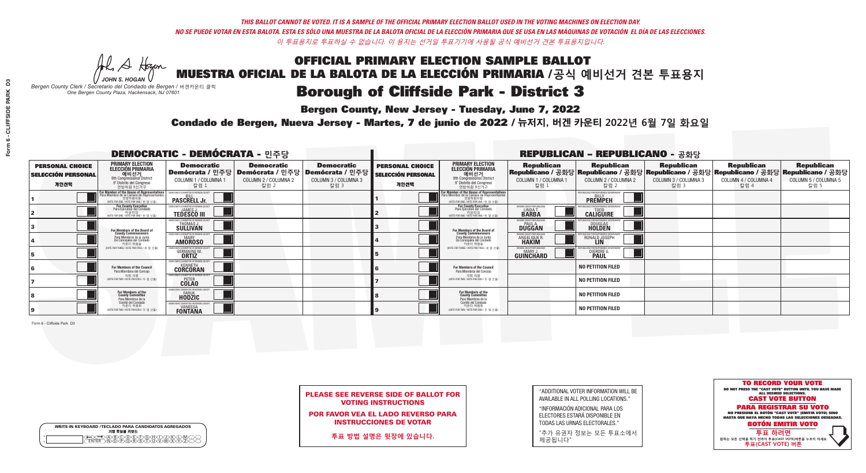**Bergen County, New Jersey - Tuesday, June 7, 2022** 

A Hogen *JOHN S. HOGAN*

| WRITE-IN KEYBOARD /TECLADO PARA CANDIDATOS AGREGADOS<br>기명 투표용 키보드 |
|--------------------------------------------------------------------|
| ) BODDED G HO.<br>DO PO B S O HOM                                  |

*Bergen County Clerk / Secretario del Condado de Bergen /* 버겐카운티 클럭 *One Bergen County Plaza, Hackensack, NJ 07601*



|  | <b>PLEASE SEE REVERSE SIDE OF BALLOT FOR</b> |  |  |
|--|----------------------------------------------|--|--|
|  | <b>VOTING INSTRUCTIONS</b>                   |  |  |

POR FAVOR VEA EL LADO REVERSO PARA INSTRUCCIONES DE VOTAR

**투표 방법 설명은 뒷장에 있습니다.**

"ADDITIONAL VOTER INFORMATION WILL BE AVAILABLE IN ALL POLLING LOCATIONS."

"INFORMACIÓN ADICIONAL PARA LOS ELECTORES ESTARÁ DISPONIBLE EN TODAS LAS URNAS ELECTORALES."

"추가 유권자 정보는 모든 투표소에서 제공됩니다"

Condado de Bergen, Nueva Jersey - Martes, 7 de junio de 2022 / 뉴저지, 버겐 카운티 2022년 6월 7일 화요일 *One Bergen County Plaza, Hackensack, NJ 07601*

|                                                             |                                                                                                                                                    |                                                                                      |                                                   | <b>REPUBLICAN - REPUBLICANO - 공화당</b>                                                                  |                                                             |                                                                                                                                    |                                                                      |                                                                                                                                                |                                                   |                                                   |                                                   |
|-------------------------------------------------------------|----------------------------------------------------------------------------------------------------------------------------------------------------|--------------------------------------------------------------------------------------|---------------------------------------------------|--------------------------------------------------------------------------------------------------------|-------------------------------------------------------------|------------------------------------------------------------------------------------------------------------------------------------|----------------------------------------------------------------------|------------------------------------------------------------------------------------------------------------------------------------------------|---------------------------------------------------|---------------------------------------------------|---------------------------------------------------|
| <b>PERSONAL CHOICE</b><br><b>SELECCIÓN PERSONAL</b><br>개인선택 | <b>PRIMARY ELECTION</b><br><b>ELECCIÓN PRIMARIA</b><br>예비선거<br>9th Congressional District<br>9° Distrito del Congreso<br>연방하원 9선거구                 | <b>Democratic</b><br>COLUMN 1 / COLUMNA<br>칼럼 :                                      | <b>Democratic</b><br>COLUMN 2 / COLUMNA 2<br>칼럼 2 | <b>Democratic</b><br>│Demócrata / 민주당│Demócrata / 민주당│Demócrata / 민주당┃<br>COLUMN 3 / COLUMNA 3<br>칼럼 3 | <b>PERSONAL CHOICE</b><br><b>SELECCIÓN PERSONAL</b><br>개인선택 | <b>PRIMARY ELECTION</b><br>ELECCIÓN PRIMARIA<br>9th Congressional District<br>9° Distrito del Congreso<br>연방하원 9선거구                | <b>Republican</b><br>COLUMN 1 / COLUMNA 1<br>칼럼                      | <b>Republican</b><br>Republicano / 공화당 Republicano / 공화당 Republicano / 공화당 Republicano / 공화당 Republicano / 공화당<br>COLUMN 2 / COLUMNA 2<br>칼럼 2 | <b>Republican</b><br>COLUMN 3 / COLUMNA 3<br>칼럼 3 | <b>Republican</b><br>COLUMN 4 / COLUMNA 4<br>칼럼 4 | <b>Republican</b><br>COLUMN 5 / COLUMNA 5<br>칼럼 5 |
|                                                             | <b>r Member of the House of Representatives<br/>ara Miembro de la Cámara de Representantes</b><br>연방하원의원<br>(VOTE FOR ONE / VOTE POR UNO / 한 명 선출) | <b>PASCRELL Jr.</b>                                                                  |                                                   |                                                                                                        |                                                             | For Member of the House of Representatives<br>Para Miembro de la Cámara de Representantes<br>WOTE FOR ONE / VOTE POR UNO / 한 명 선출) |                                                                      | PUBLICANS FOR RESPONSIBLE GO<br><b>PREMPEH</b>                                                                                                 |                                                   |                                                   |                                                   |
|                                                             | For County Executive<br>Para Ejecutivo del Condado<br>가운티장<br>(VOTE FOR ONE / VOTE POR UNO / 한 명 선출)                                               | <b>EMOCRATIC COMMITTEE OF BERGEN COUNTY</b><br><b>JAMES J.</b><br><b>TEDESCO III</b> |                                                   |                                                                                                        |                                                             | For County Executive<br>Para Ejecutivo del Condado<br>카운티장<br>(VOTE FOR ONE / VOTE POR UNO / 한 명 선출)                               | BERGEN COUNTY REPUBLICAN<br>LINDA T.<br><b>BARBA</b>                 | <b>CALIGUIRE</b>                                                                                                                               |                                                   |                                                   |                                                   |
|                                                             | <b>For Members of the Board of<br/>County Commissioners</b>                                                                                        | MOCRATIC COMMITTEE OF BERGEN COUNT<br>THOMAS J.                                      |                                                   |                                                                                                        |                                                             | For Members of the Board of<br>County Commissioners                                                                                | ERGEN COUNTY REPUBLICAN<br><b>DUGGAN</b>                             | <b>DOUGLAS</b><br><b>HOLDEN</b>                                                                                                                |                                                   |                                                   |                                                   |
|                                                             | Para Miembros de la Junta<br>De Concejales del Condado<br>카우티 위원들                                                                                  | MOCRATIC COMMITTEE OF BERGEN COUNTY<br><b>MARY</b><br><b>AMOROSO</b>                 |                                                   |                                                                                                        |                                                             | Para Miembros de la Junta<br>De Concejales del Condado<br>카우티 위원들                                                                  | <b>FRGEN COUNTY REPUBLICAN</b><br><b>ANGELIQUE F</b><br><b>HAKIM</b> | RONALD JOSEPH<br><b>LIN</b>                                                                                                                    |                                                   |                                                   |                                                   |
|                                                             | NOTE FOR THREE / VOTE POR TRES / 세 명 선출)                                                                                                           | TIC COMMITTEE OF BERGEN COUNT<br><b>GERMAINE M.</b><br><b>ORTIZ</b>                  |                                                   |                                                                                                        |                                                             | (VOTE FOR THREE / VOTE POR TRES / 세 명 선출)                                                                                          | ERGEN COUNTY REPUBLICANS<br>MARY J<br>GUINCHARD                      | DIERDRE G                                                                                                                                      |                                                   |                                                   |                                                   |
|                                                             | For Members of the Council<br>Para Miembros del Conceio                                                                                            | MOCRATIC COMMITTEE OF BERGEN COUNTY<br><b>CORCORAN</b>                               |                                                   |                                                                                                        |                                                             | <b>For Members of the Council</b><br>Para Miembros del Conceio                                                                     |                                                                      | <b>NO PETITION FILED</b>                                                                                                                       |                                                   |                                                   |                                                   |
|                                                             | 의회 의원<br>(VOTE FOR TWO / VOTE POR DOS / 두 명 선출)                                                                                                    | EMOCRATIC COMMITTEE OF BERGEN COUNTY<br><b>COLAO</b>                                 |                                                   |                                                                                                        |                                                             | 의회 의원<br>NOTE FOR TWO / VOTE POR DOS / 두 명 선출)                                                                                     |                                                                      | <b>NO PETITION FILED</b>                                                                                                                       |                                                   |                                                   |                                                   |
|                                                             | For Members of the<br>County Committee<br>Para Miembros de la                                                                                      | RATIC COMMITTEE OF BERGEN (<br><b>HODZIC</b>                                         |                                                   |                                                                                                        |                                                             | For Members of the<br>County Committee<br>Para Miembros de la<br>Comité del Condado                                                |                                                                      | <b>NO PETITION FILED</b>                                                                                                                       |                                                   |                                                   |                                                   |
|                                                             | Comité del Condado<br>카운티 위원회<br>(VOTE FOR TWO / VOTE POR DOS / 두 명 선출)                                                                            | RATIC COMMITTEE OF BERGEN CO<br><b>FONTANA</b>                                       |                                                   |                                                                                                        |                                                             | 카운티 위원회<br>(VOTE FOR TWO / VOTE POR DOS / 두 명 선출)                                                                                  |                                                                      | <b>NO PETITION FILED</b>                                                                                                                       |                                                   |                                                   |                                                   |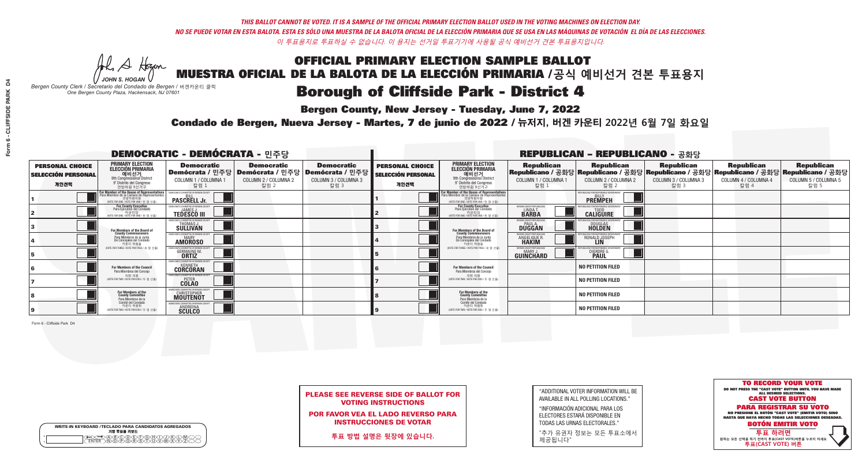**Bergen County, New Jersey - Tuesday, June 7, 2022** 

A Hogen *JOHN S. HOGAN*

| <b>WRITE-IN KEYBOARD /TECLADO PARA CANDIDATOS AGREGADOS</b><br>기명 투표용 키보드 |
|---------------------------------------------------------------------------|
| DA®©®©E©®®OQ®<br>DN@®®®®\$D™™™                                            |

*Bergen County Clerk / Secretario del Condado de Bergen /* 버겐카운티 클럭 *One Bergen County Plaza, Hackensack, NJ 07601*



PLEASE SEE REVERSE SIDE OF BALLOT FOR VOTING INSTRUCTIONS

POR FAVOR VEA EL LADO REVERSO PARA INSTRUCCIONES DE VOTAR

**투표 방법 설명은 뒷장에 있습니다.**

"ADDITIONAL VOTER INFORMATION WILL BE AVAILABLE IN ALL POLLING LOCATIONS."

"INFORMACIÓN ADICIONAL PARA LOS ELECTORES ESTARÁ DISPONIBLE EN TODAS LAS URNAS ELECTORALES."

"추가 유권자 정보는 모든 투표소에서 제공됩니다"

Condado de Bergen, Nueva Jersey - Martes, 7 de junio de 2022 / 뉴저지, 버겐 카운티 2022년 6월 7일 화요일 *One Bergen County Plaza, Hackensack, NJ 07601*

| <b>DEMOCRATIC - DEMÓCRATA - 민주당</b>                         |                                                                                                                                                    |                                                                                      |                                                   |                                                                                                        |                                                             |                                                                                                                                    |                                                                      | <b>REPUBLICAN - REPUBLICANO - 공화당</b>                                                                                                          |                                                   |                                                   |                                                   |
|-------------------------------------------------------------|----------------------------------------------------------------------------------------------------------------------------------------------------|--------------------------------------------------------------------------------------|---------------------------------------------------|--------------------------------------------------------------------------------------------------------|-------------------------------------------------------------|------------------------------------------------------------------------------------------------------------------------------------|----------------------------------------------------------------------|------------------------------------------------------------------------------------------------------------------------------------------------|---------------------------------------------------|---------------------------------------------------|---------------------------------------------------|
| <b>PERSONAL CHOICE</b><br><b>SELECCIÓN PERSONAL</b><br>개인선택 | <b>PRIMARY ELECTION</b><br><b>ELECCIÓN PRIMARIA</b><br>예비선거<br>9th Congressional District<br>9° Distrito del Congreso<br>연방하원 9선거구                 | <b>Democratic</b><br>COLUMN 1 / COLUMNA<br>칼럼 :                                      | <b>Democratic</b><br>COLUMN 2 / COLUMNA 2<br>칼럼 2 | <b>Democratic</b><br>│Demócrata / 민주당│Demócrata / 민주당│Demócrata / 민주당┃<br>COLUMN 3 / COLUMNA 3<br>칼럼 3 | <b>PERSONAL CHOICE</b><br><b>SELECCIÓN PERSONAL</b><br>개인선택 | <b>PRIMARY ELECTION</b><br>ELECCIÓN PRIMARIA<br>9th Congressional District<br>9° Distrito del Congreso<br>연방하원 9선거구                | <b>Republican</b><br>COLUMN 1 / COLUMNA 1<br>칼럼                      | <b>Republican</b><br>Republicano / 공화당 Republicano / 공화당 Republicano / 공화당 Republicano / 공화당 Republicano / 공화당<br>COLUMN 2 / COLUMNA 2<br>칼럼 2 | <b>Republican</b><br>COLUMN 3 / COLUMNA 3<br>칼럼 3 | <b>Republican</b><br>COLUMN 4 / COLUMNA 4<br>칼럼 4 | <b>Republican</b><br>COLUMN 5 / COLUMNA 5<br>칼럼 5 |
|                                                             | <b>r Member of the House of Representatives<br/>ara Miembro de la Cámara de Representantes</b><br>연방하원의원<br>(VOTE FOR ONE / VOTE POR UNO / 한 명 선출) | <b>PASCRELL Jr.</b>                                                                  |                                                   |                                                                                                        |                                                             | For Member of the House of Representatives<br>Para Miembro de la Cámara de Representantes<br>WOTE FOR ONE / VOTE POR UNO / 한 명 선출) |                                                                      | PUBLICANS FOR RESPONSIBLE GO<br><b>PREMPEH</b>                                                                                                 |                                                   |                                                   |                                                   |
|                                                             | For County Executive<br>Para Ejecutivo del Condado<br>가운티장<br>(VOTE FOR ONE / VOTE POR UNO / 한 명 선출)                                               | <b>EMOCRATIC COMMITTEE OF BERGEN COUNTY</b><br><b>JAMES J.</b><br><b>TEDESCO III</b> |                                                   |                                                                                                        |                                                             | For County Executive<br>Para Ejecutivo del Condado<br>카운티장<br>(VOTE FOR ONE / VOTE POR UNO / 한 명 선출)                               | BERGEN COUNTY REPUBLICAN<br>LINDA T.<br><b>BARBA</b>                 | <b>CALIGUIRE</b>                                                                                                                               |                                                   |                                                   |                                                   |
|                                                             | For Members of the Board of<br>County Commissioners                                                                                                | MOCRATIC COMMITTEE OF BERGEN COUNT<br>THOMAS J.                                      |                                                   |                                                                                                        |                                                             | For Members of the Board of<br>County Commissioners                                                                                | ERGEN COUNTY REPUBLICAN<br><b>DUGGAN</b>                             | <b>DOUGLAS</b><br><b>HOLDEN</b>                                                                                                                |                                                   |                                                   |                                                   |
|                                                             | Para Miembros de la Junta<br>De Concejales del Condado<br>카우티 위원들                                                                                  | MOCRATIC COMMITTEE OF BERGEN COUNTY<br><b>MARY</b><br><b>AMOROSO</b>                 |                                                   |                                                                                                        |                                                             | Para Miembros de la Junta<br>De Concejales del Condado<br>카우티 위원들                                                                  | <b>FRGEN COUNTY REPUBLICAN</b><br><b>ANGELIQUE F</b><br><b>HAKIM</b> | RONALD JOSEPH<br><b>LIN</b>                                                                                                                    |                                                   |                                                   |                                                   |
|                                                             | NOTE FOR THREE / VOTE POR TRES / 세 명 선출)                                                                                                           | TIC COMMITTEE OF BERGEN COUNT<br><b>GERMAINE M.</b><br><b>ORTIZ</b>                  |                                                   |                                                                                                        |                                                             | (VOTE FOR THREE / VOTE POR TRES / 세 명 선출)                                                                                          | ERGEN COUNTY REPUBLICANS<br>MARY J<br>GUINCHARD                      | DIERDRE G                                                                                                                                      |                                                   |                                                   |                                                   |
|                                                             | For Members of the Council<br>Para Miembros del Conceio                                                                                            | MOCRATIC COMMITTEE OF BERGEN COUNTY<br><b>CORCORAN</b>                               |                                                   |                                                                                                        |                                                             | <b>For Members of the Council</b><br>Para Miembros del Conceio                                                                     |                                                                      | <b>NO PETITION FILED</b>                                                                                                                       |                                                   |                                                   |                                                   |
|                                                             | 의회 의원<br>(VOTE FOR TWO / VOTE POR DOS / 두 명 선출)                                                                                                    | EMOCRATIC COMMITTEE OF BERGEN COUNTY<br><b>COLAO</b>                                 |                                                   |                                                                                                        |                                                             | 의회 의원<br>NOTE FOR TWO / VOTE POR DOS / 두 명 선출)                                                                                     |                                                                      | <b>NO PETITION FILED</b>                                                                                                                       |                                                   |                                                   |                                                   |
|                                                             | For Members of the<br>County Committee<br>Para Miembros de la                                                                                      | <b>CHRISTOPHER</b>                                                                   |                                                   |                                                                                                        |                                                             | For Members of the<br>County Committee<br>Para Miembros de la<br>Comité del Condado                                                |                                                                      | <b>NO PETITION FILED</b>                                                                                                                       |                                                   |                                                   |                                                   |
|                                                             | Comité del Condado<br>카운티 위원회<br>(VOTE FOR TWO / VOTE POR DOS / 두 명 선출)                                                                            | MOCRATIC COMMITTEE OF BERGEN COUN<br><b>ANDREINA</b><br><b>SCULCO</b>                |                                                   |                                                                                                        |                                                             | 카운티 위원회<br>(VOTE FOR TWO / VOTE POR DOS / 두 명 선출)                                                                                  |                                                                      | <b>NO PETITION FILED</b>                                                                                                                       |                                                   |                                                   |                                                   |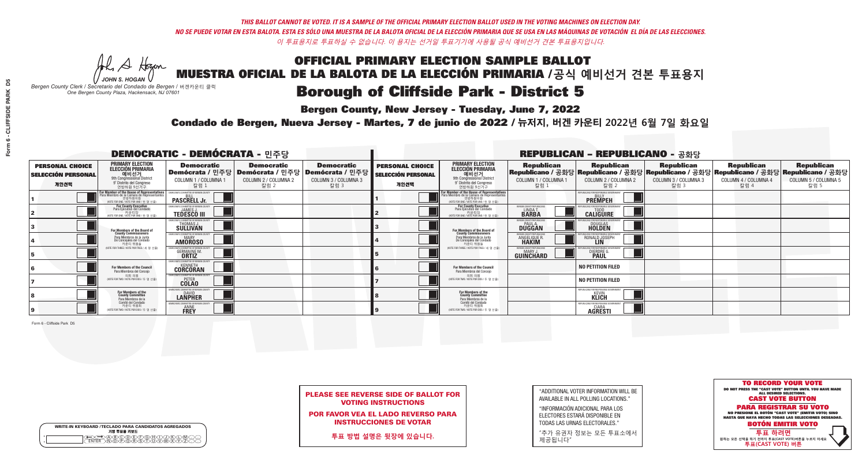**Bergen County, New Jersey - Tuesday, June 7, 2022** 

A Hogen *JOHN S. HOGAN*

|              | <b>WRITE-IN KEYBOARD /TECLADO PARA CANDIDATOS AGREGADOS</b><br>기명 투표용 키보드 |  |
|--------------|---------------------------------------------------------------------------|--|
| ٥<br>$\circ$ | >A®©®©P©®O<br>}M@P@®SOMM                                                  |  |

*Bergen County Clerk / Secretario del Condado de Bergen /* 버겐카운티 클럭 *One Bergen County Plaza, Hackensack, NJ 07601*



PLEASE SEE REVERSE SIDE OF BALLOT FOR VOTING INSTRUCTIONS

POR FAVOR VEA EL LADO REVERSO PARA INSTRUCCIONES DE VOTAR

**투표 방법 설명은 뒷장에 있습니다.**

"ADDITIONAL VOTER INFORMATION WILL BE AVAILABLE IN ALL POLLING LOCATIONS."

"INFORMACIÓN ADICIONAL PARA LOS ELECTORES ESTARÁ DISPONIBLE EN TODAS LAS URNAS ELECTORALES."

"추가 유권자 정보는 모든 투표소에서 제공됩니다"

Condado de Bergen, Nueva Jersey - Martes, 7 de junio de 2022 / 뉴저지, 버겐 카운티 2022년 6월 7일 화요일 *One Bergen County Plaza, Hackensack, NJ 07601*

| <b>DEMOCRATIC - DEMÓCRATA - 민주당</b>                         |                                                                                                                                            |                                                                    |                                                   |                                                                                                        |                                                             |                                                                                                                             |                                                           | <b>REPUBLICAN - REPUBLICANO - 공화당</b>                                                                                                          |                                                   |                                                   |                                                   |
|-------------------------------------------------------------|--------------------------------------------------------------------------------------------------------------------------------------------|--------------------------------------------------------------------|---------------------------------------------------|--------------------------------------------------------------------------------------------------------|-------------------------------------------------------------|-----------------------------------------------------------------------------------------------------------------------------|-----------------------------------------------------------|------------------------------------------------------------------------------------------------------------------------------------------------|---------------------------------------------------|---------------------------------------------------|---------------------------------------------------|
| <b>PERSONAL CHOICE</b><br><b>SELECCIÓN PERSONAL</b><br>개인선택 | <b>PRIMARY ELECTION</b><br><b>ELECCIÓN PRIMARIA</b><br>예비선거<br>애비선거<br>9° Distrito del Congreso<br>연방하원 9선거구                               | <b>Democratic</b><br>COLUMN 1 / COLUMNA 1<br>칼럼 :                  | <b>Democratic</b><br>COLUMN 2 / COLUMNA 2<br>칼럼 2 | <b>Democratic</b><br>│Demócrata / 민주당│Demócrata / 민주당│Demócrata / 민주당┃<br>COLUMN 3 / COLUMNA 3<br>칼럼 3 | <b>PERSONAL CHOICE</b><br><b>SELECCIÓN PERSONAL</b><br>개인선택 | <b>PRIMARY ELECTION</b><br>ELECCIÓN PRIMARIA<br>예비선거<br>9th Congressional District<br>9° Distrito del Congreso<br>연방하원 9선거구 | <b>Republican</b><br>COLUMN 1 / COLUMNA 1<br>칼럼 :         | <b>Republican</b><br>Republicano / 공화당 Republicano / 공화당 Republicano / 공화당 Republicano / 공화당 Republicano / 공화당<br>COLUMN 2 / COLUMNA 2<br>칼럼 2 | <b>Republican</b><br>COLUMN 3 / COLUMNA 3<br>칼럼 3 | <b>Republican</b><br>COLUMN 4 / COLUMNA 4<br>칼럼 4 | <b>Republican</b><br>COLUMN 5 / COLUMNA 5<br>칼럼 5 |
|                                                             | or Member of the House of Representatives<br>ra Miembro de la Cámara de Representantes<br>연방하원의원<br>(VOTE FOR ONE / VOTE POR UNO / 한 명 선출) | DEMOCRATIC COMMITTEE OF BERGEN COUNT<br><b>PASCRELL Jr.</b>        |                                                   |                                                                                                        |                                                             | <b>For Member of the House of Representatives<br/>Para Miembro de la Cámara de Representantes</b>                           |                                                           | PUBLICANS FOR RESPONSIBLE GOVERNM<br><b>PREMPEH</b>                                                                                            |                                                   |                                                   |                                                   |
|                                                             | <b>For County Executive</b><br>Para Ejecutivo del Condado<br>가운티장<br>(VOTE FOR ONE / VOTE POR UNO / 한 명 선출)                                | DEMOCRATIC COMMITTEE OF BERGEN COUNTY<br><b>TEDESCO III</b>        |                                                   |                                                                                                        |                                                             | <b>For County Executive</b><br>Para Ejecutivo del Condado<br>7) 카운티장<br>(VOTE FOR ONE / VOTE POR UNO / 한 명 선출               | BERGEN COUNTY REPUBLICAN<br><b>LINDAT</b><br><b>BARBA</b> | <b>CALIGUIRE</b>                                                                                                                               |                                                   |                                                   |                                                   |
|                                                             | <b>For Members of the Board of<br/>County Commissioners</b>                                                                                | MOCRATIC COMMITTEE OF BERGEN COUNTY<br>THOMAS J.                   |                                                   |                                                                                                        |                                                             | For Members of the Board of<br>County Commissioners                                                                         | ERGEN COUNTY REPUBLICAN<br><b>DUGGAN</b>                  | <b>DOUGLAS</b><br><b>HOLDEN</b>                                                                                                                |                                                   |                                                   |                                                   |
|                                                             | Para Miembros de la Junta<br>De Concejales del Condado<br>카운티 위원들                                                                          | OCRATIC COMMITTEE OF BERGEN COUNT<br><b>MARY</b><br><b>AMOROSO</b> |                                                   |                                                                                                        |                                                             | Para Miembros de la Junta<br>De Concejales del Condado<br>카운티 위원들                                                           | ERGEN COUNTY REPUBLICAN<br>ANGELIQUE R                    | RONALD JOSEPH                                                                                                                                  |                                                   |                                                   |                                                   |
|                                                             | NOTE FOR THREE / VOTE POR TRES / 세 명 선출)                                                                                                   | RATIC COMMITTEE OF BERGEN CI:<br><b>GERMAINE M.</b>                |                                                   |                                                                                                        |                                                             | (VOTE FOR THREE / VOTE POR TRES / 세 명 선출)                                                                                   | ERGEN COUNTY REPUBLICANS<br>MARY J<br>GUINCHARD           | S FOR RESPONSIBI E G<br><b>DIERDRE</b> (                                                                                                       |                                                   |                                                   |                                                   |
|                                                             | For Members of the Council<br>Para Miembros del Conceio                                                                                    | MOCRATIC COMMITTEE OF BERGEN COUNT<br><b>CORCORAN</b>              |                                                   |                                                                                                        |                                                             | <b>For Members of the Council</b><br>Para Miembros del Concejo                                                              |                                                           | <b>NO PETITION FILED</b>                                                                                                                       |                                                   |                                                   |                                                   |
|                                                             | 의회 의원<br>NOTE FOR TWO / VOTE POR DOS / 두 명 선출)                                                                                             | <b>EMOCRATIC COMMITTEE OF BERGEN COUNTY</b><br><b>COLAO</b>        |                                                   |                                                                                                        |                                                             | 의회 의원<br>NOTE FOR TWO / VOTE POR DOS / 두 명 선출)                                                                              |                                                           | <b>NO PETITION FILED</b>                                                                                                                       |                                                   |                                                   |                                                   |
|                                                             | For Members of the<br>County Committee<br>Para Miembros de la<br>Comité del Condado                                                        | CRATIC COMMITTEE OF BERGEN<br><b>LANPHER</b>                       |                                                   |                                                                                                        |                                                             | For Members of the<br>County Committee<br>Para Miembros de la<br>Comité del Condado                                         |                                                           | EPUBLICANS FOR RESPONSIBLE (<br><b>KLICH</b>                                                                                                   |                                                   |                                                   |                                                   |
|                                                             | 카운티 위원회<br>NOTE FOR TWO / VOTE POR DOS / 두 명 선출)                                                                                           | MOCRATIC COMMITTEE OF RERGEN (<br><b>ANNE</b><br><b>FREY</b>       |                                                   |                                                                                                        |                                                             | 카운티 위원회<br>(VOTE FOR TWO / VOTE POR DOS / 두 명 선출)                                                                           |                                                           | EPUBLICANS FOR RESPONSIBLE G<br>CIARA<br><b>AGRESTI</b>                                                                                        |                                                   |                                                   |                                                   |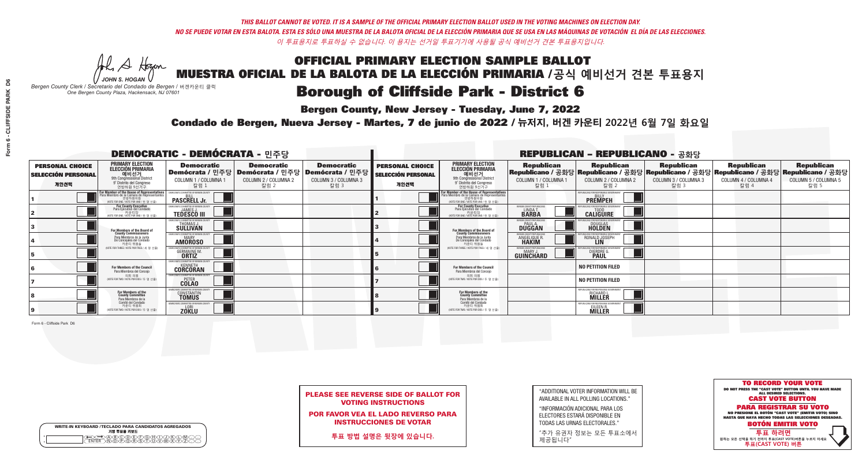**Bergen County, New Jersey - Tuesday, June 7, 2022** 

A Hogen *JOHN S. HOGAN*

|         | <b>WRITE-IN KEYBOARD /TECLADO PARA CANDIDATOS AGREGADOS</b><br>기명 투표용 키보드 |
|---------|---------------------------------------------------------------------------|
| ٥       | .)(B)C)(D)(E)(F)(G)(H)(                                                   |
| $\circ$ | <u>፝ዀፙቑ፝፠ዾ</u>                                                            |

*Bergen County Clerk / Secretario del Condado de Bergen /* 버겐카운티 클럭 *One Bergen County Plaza, Hackensack, NJ 07601*



PLEASE SEE REVERSE SIDE OF BALLOT FOR VOTING INSTRUCTIONS

POR FAVOR VEA EL LADO REVERSO PARA INSTRUCCIONES DE VOTAR

**투표 방법 설명은 뒷장에 있습니다.**

"ADDITIONAL VOTER INFORMATION WILL BE AVAILABLE IN ALL POLLING LOCATIONS."

"INFORMACIÓN ADICIONAL PARA LOS ELECTORES ESTARÁ DISPONIBLE EN TODAS LAS URNAS ELECTORALES."

"추가 유권자 정보는 모든 투표소에서 제공됩니다"

Condado de Bergen, Nueva Jersey - Martes, 7 de junio de 2022 / 뉴저지, 버겐 카운티 2022년 6월 7일 화요일 *One Bergen County Plaza, Hackensack, NJ 07601*

| <b>DEMOCRATIC - DEMÓCRATA - 민주당</b>                         |                                                                                                                                               |                                                                                       |                                                   |                                                                             |                                                             |                                                                                                                                               |                                                   | <b>REPUBLICAN - REPUBLICANO - 공화당</b>                 |                                                   |                                                                                                                                                |                                                   |
|-------------------------------------------------------------|-----------------------------------------------------------------------------------------------------------------------------------------------|---------------------------------------------------------------------------------------|---------------------------------------------------|-----------------------------------------------------------------------------|-------------------------------------------------------------|-----------------------------------------------------------------------------------------------------------------------------------------------|---------------------------------------------------|-------------------------------------------------------|---------------------------------------------------|------------------------------------------------------------------------------------------------------------------------------------------------|---------------------------------------------------|
| <b>PERSONAL CHOICE</b><br><b>SELECCIÓN PERSONAL</b><br>개인선택 | <b>PRIMARY ELECTION</b><br><b>ELECCIÓN PRIMARIA</b><br>예비선거<br>애 Gongressional District<br>9° Distrito del Congreso<br>연방하원 9선거구              | <b>Democratic</b><br>│Demócrata / 민주당│Demócrata / 민주당<br>COLUMN 1 / COLUMNA 1<br>칼럼 1 | <b>Democratic</b><br>COLUMN 2 / COLUMNA 2<br>칼럼 2 | <b>Democratic</b><br><b>Demócrata / 민주당</b><br>COLUMN 3 / COLUMNA 3<br>칼럼 3 | <b>PERSONAL CHOICE</b><br><b>SELECCIÓN PERSONAL</b><br>개인선택 | <b>PRIMARY ELECTION</b><br>ELECCIÓN PRIMARIA<br>9th Congressional District<br>9° Distrito del Congreso<br>연방하원 9선거구                           | <b>Republican</b><br>COLUMN 1 / COLUMNA 1<br>참럼 1 | <b>Republican</b><br>COLUMN 2 / COLUMNA 2<br>·칼럼 2    | <b>Republican</b><br>COLUMN 3 / COLUMNA 3<br>칼럼 3 | <b>Republican</b><br>Republicano / 공화당 Republicano / 공화당 Republicano / 공화당 Republicano / 공화당 Republicano / 공화당<br>COLUMN 4 / COLUMNA 4<br>칼럼 4 | <b>Republican</b><br>COLUMN 5 / COLUMNA 5<br>칼럼 5 |
|                                                             | For Member of the House of Representatives<br>Para Miembro de la Cámara de Representantes<br>연방하원의원<br>(VOTE FOR ONE / VOTE POR UNO / 한 명 선출) | EMOCRATIC COMMITTEE OF BERGEN COUNTY<br><b>PASCRELL Jr.</b>                           |                                                   |                                                                             |                                                             | For Member of the House of Representatives<br>Para Miembro de la Cámara de Representantes<br>연방하원의원<br>(VOTE FOR ONE / VOTE POR UNO / 한 명 선출) |                                                   | PUBLICANS FOR RESPONSIBLE GOVERNMEN<br><b>PREMPEH</b> |                                                   |                                                                                                                                                |                                                   |
|                                                             | <b>For County Executive</b><br>Para Ejecutivo del Condado<br>WOTE FOR ONE / VOTE POR UNO / 한 명 선출)                                            | JEMOCRATIC COMMITTEE OF BERGEN COUNTY<br><b>TEDESCO III</b>                           |                                                   |                                                                             |                                                             | <b>For County Executive</b><br>Para Ejecutivo del Condado<br>7) 카운티장<br>(VOTE FOR ONE / VOTE POR UNO / 한 명 선출)                                | BERGEN COUNTY REPUBLICAN<br>LINDA T.              | <b>CALIGUIRE</b>                                      |                                                   |                                                                                                                                                |                                                   |
|                                                             | For Members of the Board of<br>County Commissioners                                                                                           | EMOCRATIC COMMITTEE OF BERGEN COUNTY<br>THOMAS J.<br><b>SULLIVAN</b>                  |                                                   |                                                                             |                                                             | For Members of the Board of<br>County Commissioners                                                                                           | ERGEN COUNTY REPUBLICAN<br><b>DUGGAN</b>          | <b>DOUGLAS</b><br><b>HOLDEN</b>                       |                                                   |                                                                                                                                                |                                                   |
|                                                             | Para Miembros de la Junta<br>De Concejales del Condado<br>카운티 위원들                                                                             | MOCRATIC COMMITTEE OF BERGEN COUNT<br><b>AMOROSO</b>                                  |                                                   |                                                                             |                                                             | Para Miembros de la Junta<br>De Concejales del Condado<br>카우티 위원들                                                                             | ERGEN COUNTY REPUBLICAN<br>ANGELIQUE R            | RONALD JOSEPH                                         |                                                   |                                                                                                                                                |                                                   |
|                                                             | NOTE FOR THREE / VOTE POR TRES / 세 명 선출)                                                                                                      | OCRATIC COMMITTEE OF BERGEN C<br><b>GERMAINE M.</b>                                   |                                                   |                                                                             |                                                             | NOTE FOR THREE / VOTE POR TRES / 세 명 선출)                                                                                                      | BERGEN COUNTY REPUBLICANS<br>MARY J<br>GUINCHARD  | FOR RESPONSIBLE G<br><b>DIERDRE</b>                   |                                                   |                                                                                                                                                |                                                   |
|                                                             | For Members of the Council<br>Para Miembros del Conceio                                                                                       | <b>EMOCRATIC COMMITTEE OF BEBGEN COUN</b><br><b>CORCORAN</b>                          |                                                   |                                                                             |                                                             | For Members of the Council<br>Para Miembros del Conceio                                                                                       |                                                   | <b>NO PETITION FILED</b>                              |                                                   |                                                                                                                                                |                                                   |
|                                                             | 의회 의원<br>(VOTE FOR TWO / VOTE POR DOS / 두 명 선출)                                                                                               | EMOCRATIC COMMITTEE OF BERGEN COUNTY<br><b>COLAO</b>                                  |                                                   |                                                                             |                                                             | 의회 의원<br>(VOTE FOR TWO / VOTE POR DOS / 두 명 선출)                                                                                               |                                                   | <b>NO PETITION FILED</b>                              |                                                   |                                                                                                                                                |                                                   |
|                                                             | For Members of the<br>County Committee<br>Para Miembros de la<br>Comité del Condado                                                           | <b>DCRATIC COMMITTEE OF BERGEN</b><br>CONSTANTIN<br><b>TOMUS</b>                      |                                                   |                                                                             |                                                             | For Members of the<br>County Committee<br>Para Miembros de la<br>Comité del Condado                                                           |                                                   | EPUBLICANS FOR RESPONSIBLE GO<br>RICHARD L.           |                                                   |                                                                                                                                                |                                                   |
|                                                             | 카운티 위원회<br>(VOTE FOR TWO / VOTE POR DOS / 두 명 선출)                                                                                             | <b>EMOCRATIC COMMITTEE OF BERGEN 0</b><br><b>ZOKLU</b>                                |                                                   |                                                                             |                                                             | 카운티 위원회<br>WOTE FOR TWO / VOTE POR DOS / 두 명 선출)                                                                                              |                                                   | EPUBLICANS FOR RESPONSIBLE<br>EILEEN R.               |                                                   |                                                                                                                                                |                                                   |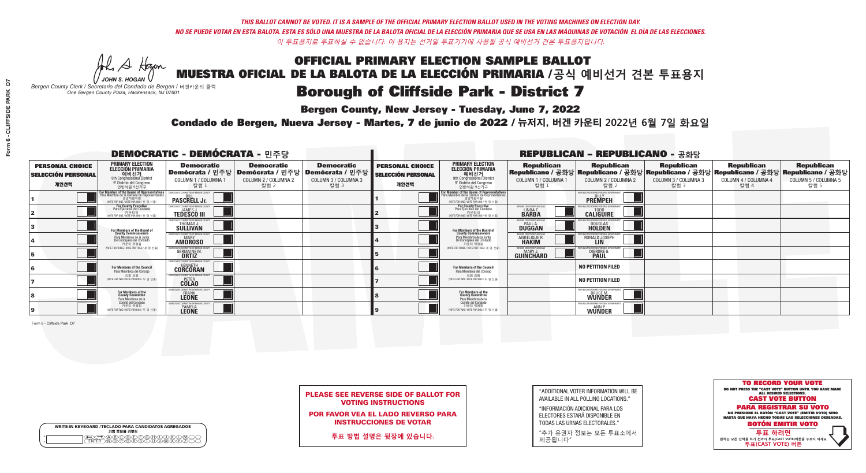**Bergen County, New Jersey - Tuesday, June 7, 2022** 

A Hogen *JOHN S. HOGAN*

|        | <b>WRITE-IN KEYBOARD /TECLADO PARA CANDIDATOS AGREGADOS</b><br>기명 투표용 키보드 |
|--------|---------------------------------------------------------------------------|
| o<br>o | E A BOO DE FORDO DA DO<br>MOO POORS DO VAWAY                              |

*Bergen County Clerk / Secretario del Condado de Bergen /* 버겐카운티 클럭 *One Bergen County Plaza, Hackensack, NJ 07601*



PLEASE SEE REVERSE SIDE OF BALLOT FOR VOTING INSTRUCTIONS

POR FAVOR VEA EL LADO REVERSO PARA INSTRUCCIONES DE VOTAR

**투표 방법 설명은 뒷장에 있습니다.**

"ADDITIONAL VOTER INFORMATION WILL BE AVAILABLE IN ALL POLLING LOCATIONS."

"INFORMACIÓN ADICIONAL PARA LOS ELECTORES ESTARÁ DISPONIBLE EN TODAS LAS URNAS ELECTORALES."

"추가 유권자 정보는 모든 투표소에서 제공됩니다"

Condado de Bergen, Nueva Jersey - Martes, 7 de junio de 2022 / 뉴저지, 버겐 카운티 2022년 6월 7일 화요일 *One Bergen County Plaza, Hackensack, NJ 07601*

| <b>DEMOCRATIC - DEMÓCRATA - 민주당</b>                         |                                                                                                                                                  |                                                                     |                                                   |                                                                                                        |                                                             |                                                                                                                                               |                                                               | <b>REPUBLICAN - REPUBLICANO - 공화당</b>                                                                                                          |                                                   |                                                   |                                                   |
|-------------------------------------------------------------|--------------------------------------------------------------------------------------------------------------------------------------------------|---------------------------------------------------------------------|---------------------------------------------------|--------------------------------------------------------------------------------------------------------|-------------------------------------------------------------|-----------------------------------------------------------------------------------------------------------------------------------------------|---------------------------------------------------------------|------------------------------------------------------------------------------------------------------------------------------------------------|---------------------------------------------------|---------------------------------------------------|---------------------------------------------------|
| <b>PERSONAL CHOICE</b><br><b>SELECCIÓN PERSONAL</b><br>개인선택 | <b>PRIMARY ELECTION</b><br><b>ELECCIÓN PRIMARIA</b><br>예비선거<br>애비선거<br>9° Distrito del Congreso<br>연방하원 9선거구                                     | <b>Democratic</b><br>COLUMN 1 / COLUMNA<br>칼럼 :                     | <b>Democratic</b><br>COLUMN 2 / COLUMNA 2<br>칼럼 2 | <b>Democratic</b><br>│Demócrata / 민주당│Demócrata / 민주당│Demócrata / 민주당┃<br>COLUMN 3 / COLUMNA 3<br>칼럼 3 | <b>PERSONAL CHOICE</b><br><b>SELECCIÓN PERSONAL</b><br>개인선택 | <b>PRIMARY ELECTION</b><br>ELECCIÓN PRIMARIA<br>예비선거<br>9th Congressional District<br>9° Distrito del Congreso<br>연방하워 9선거구                   | <b>Republican</b><br>COLUMN 1 / COLUMNA 1<br>칼럼               | <b>Republican</b><br>Republicano / 공화당 Republicano / 공화당 Republicano / 공화당 Republicano / 공화당 Republicano / 공화당<br>COLUMN 2 / COLUMNA 2<br>칼럼 2 | <b>Republican</b><br>COLUMN 3 / COLUMNA 3<br>칼럼 3 | <b>Republican</b><br>COLUMN 4 / COLUMNA 4<br>칼럼 4 | <b>Republican</b><br>COLUMN 5 / COLUMNA 5<br>칼럼 5 |
|                                                             | <b>r Member of the House of Representatives</b><br>ra Miembro de la Cámara de Representantes<br>연방하원의원<br>(VOTE FOR ONE / VOTE POR UNO / 한 명 선출) | DEMOCRATIC COMMITTEE OF BERGEN CI<br><b>PASCRELL Jr.</b>            |                                                   |                                                                                                        |                                                             | For Member of the House of Representatives<br>Para Miembro de la Cámara de Representantes<br>연방하원의원<br>(VOTE FOR ONE / VOTE POR UNO / 한 명 선출) |                                                               | PUBLICANS FOR RESPONSIBLE GOVERNI<br><b>PREMPEH</b>                                                                                            |                                                   |                                                   |                                                   |
|                                                             | <b>For County Executive</b><br>Para Ejecutivo del Condado<br>가운티장<br>(VOTE FOR ONE / VOTE POR UNO / 한 명 선출)                                      | JEMOCRATIC COMMITTEE OF BERGEN COUNTY<br><b>TEDESCO III</b>         |                                                   |                                                                                                        |                                                             | For County Executive<br>Para Ejecutivo del Condado<br>7 카운티장<br>(VOTE FOR ONE / VOTE POR UNO / 한 명 선출                                         | BERGEN COUNTY REPUBLICAN<br><b>I INDAT</b><br><b>BARBA</b>    | <b>CALIGUIRE</b>                                                                                                                               |                                                   |                                                   |                                                   |
|                                                             | <b>For Members of the Board of<br/>County Commissioners</b>                                                                                      | MOCRATIC COMMITTEE OF BERGEN COUNTY<br>THOMAS J.                    |                                                   |                                                                                                        |                                                             | For Members of the Board of<br>County Commissioners                                                                                           | ERGEN COUNTY REPUBLICAN<br><b>DUGGAN</b>                      | <b>DOUGLAS</b><br><b>HOLDEN</b>                                                                                                                |                                                   |                                                   |                                                   |
|                                                             | Para Miembros de la Junta<br>De Concejales del Condado<br>카우티 위원들                                                                                | )CRATIC COMMITTEE OF BERGEN COUNTY<br><b>MARY</b><br><b>AMOROSO</b> |                                                   |                                                                                                        |                                                             | Para Miembros de la Junta<br>De Concejales del Condado<br>카우티 위원들                                                                             | ERGEN COUNTY REPUBLICAN<br><b>ANGELIQUE F</b><br><b>HAKIM</b> | RONALD JOSEPH                                                                                                                                  |                                                   |                                                   |                                                   |
|                                                             | NOTE FOR THREE / VOTE POR TRES / 세 명 선출)                                                                                                         | RATIC COMMITTEE OF BERGEN CI<br><b>GERMAINE M.</b>                  |                                                   |                                                                                                        |                                                             | (VOTE FOR THREE / VOTE POR TRES / 세 명 선출)                                                                                                     | ERGEN COUNTY REPUBLICANS<br>MARY J<br>GUINCHARD               | FOR RESPONSIBLE G<br><b>DIERDRE G</b><br><b>PAUL</b>                                                                                           |                                                   |                                                   |                                                   |
|                                                             | For Members of the Council<br>Para Miembros del Conceio                                                                                          | MOCRATIC COMMITTEE OF BERGEN CI<br><b>CORCORAN</b>                  |                                                   |                                                                                                        |                                                             | For Members of the Council<br>Para Miembros del Conceio                                                                                       |                                                               | <b>NO PETITION FILED</b>                                                                                                                       |                                                   |                                                   |                                                   |
|                                                             | 의회 의원<br>NOTE FOR TWO / VOTE POR DOS / 두 명 선출)                                                                                                   | <b>EMOCRATIC COMMITTEE OF BERGEN COUNTY</b><br><b>COLAO</b>         |                                                   |                                                                                                        |                                                             | 의회 의원<br>NOTE FOR TWO / VOTE POR DOS / 두 명 선출)                                                                                                |                                                               | <b>NO PETITION FILED</b>                                                                                                                       |                                                   |                                                   |                                                   |
|                                                             | For Members of the<br>County Committee<br>Para Miembros de la                                                                                    | OCRATIC COMMITTEE OF BERGEN (<br><b>ERANK</b><br><b>LEONE</b>       |                                                   |                                                                                                        |                                                             | For Members of the<br>County Committee<br>Para Miembros de la<br>Comité del Condado                                                           |                                                               | EPUBLICANS FOR RESPONSIBLE GO<br><b>BRUCE M.</b><br><b>WUNDER</b>                                                                              |                                                   |                                                   |                                                   |
|                                                             | Comité del Condado<br>카운티 위원회<br>(VOTE FOR TWO / VOTE POR DOS / 두 명 선출)                                                                          | EMOCRATIC COMMITTEE OF BERGEN CI<br><b>PAMELA</b><br><b>LEONE</b>   |                                                   |                                                                                                        |                                                             | 카운티 위원회<br>NOTE FOR TWO / VOTE POR DOS / 두 명 선출)                                                                                              |                                                               | PUBLICANS FOR RESPONSIBLE (<br><b>WÜNDER</b>                                                                                                   |                                                   |                                                   |                                                   |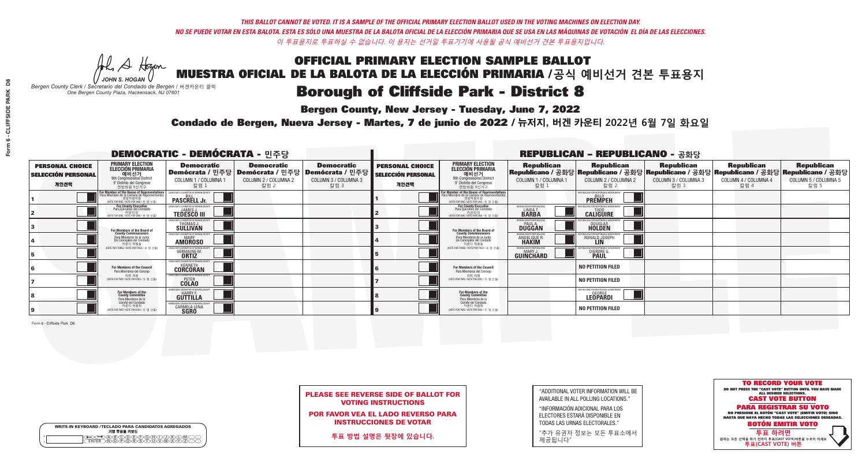**Bergen County, New Jersey - Tuesday, June 7, 2022** 

A Hogen *JOHN S. HOGAN*

| <b>WRITE-IN KEYBOARD /TECLADO PARA CANDIDATOS AGREGADOS</b><br>기명 투표용 키보드 |  |
|---------------------------------------------------------------------------|--|
| (A)B)C)D)E)(F)(G)(H)(T)(T)(<br>o<br>心面有心的<br>o                            |  |

*Bergen County Clerk / Secretario del Condado de Bergen /* 버겐카운티 클럭 *One Bergen County Plaza, Hackensack, NJ 07601*



PLEASE SEE REVERSE SIDE OF BALLOT FOR VOTING INSTRUCTIONS

POR FAVOR VEA EL LADO REVERSO PARA INSTRUCCIONES DE VOTAR

**투표 방법 설명은 뒷장에 있습니다.**

| "ADDITIONAL VOTER INFORMATION WILL BE |
|---------------------------------------|
| AVAILABLE IN ALL POLLING LOCATIONS."  |

"INFORMACIÓN ADICIONAL PARA LOS ELECTORES ESTARÁ DISPONIBLE EN TODAS LAS URNAS ELECTORALES."

"추가 유권자 정보는 모든 투표소에서 제공됩니다"

Condado de Bergen, Nueva Jersey - Martes, 7 de junio de 2022 / 뉴저지, 버겐 카운티 2022년 6월 7일 화요일 *One Bergen County Plaza, Hackensack, NJ 07601*

| <b>DEMOCRATIC - DEMÓCRATA - 민주당</b>                         |                                                                                                                                               |                                                               |                                                   |                                                                                                        |                                                             |                                                                                                                                               |                                                                      | <b>REPUBLICAN - REPUBLICANO - 공화당</b>                                                                                                          |                                                   |                                                   |                                                   |
|-------------------------------------------------------------|-----------------------------------------------------------------------------------------------------------------------------------------------|---------------------------------------------------------------|---------------------------------------------------|--------------------------------------------------------------------------------------------------------|-------------------------------------------------------------|-----------------------------------------------------------------------------------------------------------------------------------------------|----------------------------------------------------------------------|------------------------------------------------------------------------------------------------------------------------------------------------|---------------------------------------------------|---------------------------------------------------|---------------------------------------------------|
| <b>PERSONAL CHOICE</b><br><b>SELECCIÓN PERSONAL</b><br>개인선택 | <b>PRIMARY ELECTION</b><br><b>ELECCIÓN PRIMARIA</b><br>예비선거<br><sup>01</sup> 에비선거<br>9° Distrito del Congreso<br>연방하원 9선거구                    | <b>Democratic</b><br>COLUMN 1 / COLUMNA 1<br>칼럼 1             | <b>Democratic</b><br>COLUMN 2 / COLUMNA 2<br>칼럼 2 | <b>Democratic</b><br>│Demócrata / 민주당│Demócrata / 민주당│Demócrata / 민주당┃<br>COLUMN 3 / COLUMNA 3<br>칼럼 3 | <b>PERSONAL CHOICE</b><br><b>SELECCIÓN PERSONAL</b><br>개인선택 | <b>PRIMARY ELECTION</b><br>ELECCIÓN PRIMARIA<br>예비선거<br>9th Congressional District<br>9° Distrito del Congreso<br>연방하원 9선거구                   | <b>Republican</b><br>COLUMN 1 / COLUMNA 1<br>칼럼                      | <b>Republican</b><br>Republicano / 공화당 Republicano / 공화당 Republicano / 공화당 Republicano / 공화당 Republicano / 공화당<br>COLUMN 2 / COLUMNA 2<br>칼럼 2 | <b>Republican</b><br>COLUMN 3 / COLUMNA 3<br>칼럼 3 | <b>Republican</b><br>COLUMN 4 / COLUMNA 4<br>칼럼 4 | <b>Republican</b><br>COLUMN 5 / COLUMNA 5<br>칼럼 5 |
|                                                             | For Member of the House of Representatives<br>Para Miembro de la Cámara de Representantes<br>연방하원의원<br>(VOTE FOR ONE / VOTE POR UNO / 한 명 선출) | EMOCRATIC COMMITTEE OF BERGEN CO<br><b>PASCRELL Jr.</b>       |                                                   |                                                                                                        |                                                             | For Member of the House of Representatives<br>Para Miembro de la Cámara de Representantes<br>연방하원의원<br>(VOTE FOR ONE / VOTE POR UNO / 한 명 선출) |                                                                      | PUBLICANS FOR RESPONSIBLE GOVERNI<br><b>PREMPEH</b>                                                                                            |                                                   |                                                   |                                                   |
|                                                             | <b>For County Executive</b><br>Para Ejecutivo del Condado<br>가운티장<br>(VOTE FOR ONE / VOTE POR UNO / 한 명 선출)                                   | EMOCRATIC COMMITTEE OF BERGEN COUNTY<br><b>TEDESCO III</b>    |                                                   |                                                                                                        |                                                             | For County Executive<br>Para Ejecutivo del Condado<br>. 카운티장<br>(VOTE FOR ONE / VOTE POR UNO / 한 명 선출)                                        | BERGEN COUNTY REPUBLICAN<br><b>LINDAT</b><br><b>BARBA</b>            | <b>CALIGUIRE</b>                                                                                                                               |                                                   |                                                   |                                                   |
|                                                             | For Members of the Board of<br>County Commissioners                                                                                           | MOCRATIC COMMITTEE OF BERGEN COUNTY<br>THOMAS J.              |                                                   |                                                                                                        |                                                             | For Members of the Board of<br>County Commissioners                                                                                           | ERGEN COUNTY REPUBLICAN<br><b>PAUL A.</b><br><b>DUGGAN</b>           | <b>DOUGLAS</b>                                                                                                                                 |                                                   |                                                   |                                                   |
|                                                             | Para Miembros de la Junta<br>De Concejales del Condado<br>카우티 위원들                                                                             | MOCRATIC COMMITTEE OF BERGEN COUNTY<br><b>AMOROSO</b>         |                                                   |                                                                                                        |                                                             | Para Miembros de la Junta<br>De Concejales del Condado<br>카우티 위원들                                                                             | <b>ERGEN COUNTY REPUBLICAN</b><br><b>ANGELIQUE F</b><br><b>HAKIM</b> | RONALD JOSEPH<br><b>LIN</b>                                                                                                                    |                                                   |                                                   |                                                   |
|                                                             | (VOTE FOR THREE / VOTE POR TRES / 세 명 선출)                                                                                                     | RATIC COMMITTEE OF BERGEN COUNT<br><b>GERMAINE M.</b>         |                                                   |                                                                                                        |                                                             | (VOTE FOR THREE / VOTE POR TRES / 세 명 선출)                                                                                                     | ERGEN COUNTY REPUBLICANS<br>MARY J<br>GUINCHARD                      | FOR RESPONSIBLE G<br>DIERDRE G                                                                                                                 |                                                   |                                                   |                                                   |
|                                                             | <b>For Members of the Council</b><br>Para Miembros del Conceio                                                                                | EMOCRATIC COMMITTEE OF BERGEN COUNT<br><b>CORCORAN</b>        |                                                   |                                                                                                        |                                                             | <b>For Members of the Council</b><br>Para Miembros del Concejo                                                                                |                                                                      | <b>NO PETITION FILED</b>                                                                                                                       |                                                   |                                                   |                                                   |
|                                                             | 의회 의원<br>(VOTE FOR TWO / VOTE POR DOS / 두 명 선출)                                                                                               | EMOCRATIC COMMITTEE OF BERGEN COUNTY<br><b>COLAO</b>          |                                                   |                                                                                                        |                                                             | 의회 의원<br>NOTE FOR TWO / VOTE POR DOS / 두 명 선출)                                                                                                |                                                                      | <b>NO PETITION FILED</b>                                                                                                                       |                                                   |                                                   |                                                   |
|                                                             | For Members of the<br>County Committee<br>Para Miembros de la                                                                                 | <b>CRATIC COMMITTEE OF BERGEN (</b><br><b>GUTTILLA</b>        |                                                   |                                                                                                        |                                                             | For Members of the<br>County Committee<br>Para Miembros de la<br>Comité del Condado                                                           |                                                                      | <b>IFPUBLICANS FOR RESPONSIBLE GOVERNMENT</b><br>Leopardi                                                                                      |                                                   |                                                   |                                                   |
|                                                             | Comité del Condado<br>카운티 위원회<br>(VOTE FOR TWO / VOTE POR DOS / 두 명 선출)                                                                       | <b>MOCRATIC COMMITTEE OF BERGEN C'</b><br><b>CARMELA LENA</b> |                                                   |                                                                                                        |                                                             | 카운티 위원회<br>(VOTE FOR TWO / VOTE POR DOS / 두 명 선출)                                                                                             |                                                                      | <b>NO PETITION FILED</b>                                                                                                                       |                                                   |                                                   |                                                   |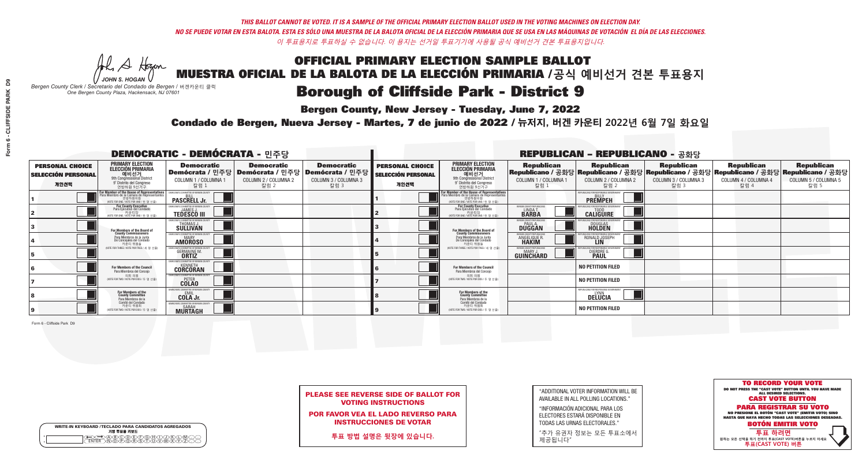**Bergen County, New Jersey - Tuesday, June 7, 2022** 

A Hogen *JOHN S. HOGAN*

|        | <b>WRITE-IN KEYBOARD /TECLADO PARA CANDIDATOS AGREGADOS</b><br>기명 투표용 키보드 |
|--------|---------------------------------------------------------------------------|
| o<br>o | DA BOO DE POHO DA KO<br>DIN Q PORSTUDIMIZIO                               |

*Bergen County Clerk / Secretario del Condado de Bergen /* 버겐카운티 클럭 *One Bergen County Plaza, Hackensack, NJ 07601*



PLEASE SEE REVERSE SIDE OF BALLOT FOR VOTING INSTRUCTIONS

POR FAVOR VEA EL LADO REVERSO PARA INSTRUCCIONES DE VOTAR

**투표 방법 설명은 뒷장에 있습니다.**

| "ADDITIONAL VOTER INFORMATION WILL BE |
|---------------------------------------|
| AVAILABLE IN ALL POLLING LOCATIONS."  |

"INFORMACIÓN ADICIONAL PARA LOS ELECTORES ESTARÁ DISPONIBLE EN TODAS LAS URNAS ELECTORALES."

"추가 유권자 정보는 모든 투표소에서 제공됩니다"

Condado de Bergen, Nueva Jersey - Martes, 7 de junio de 2022 / 뉴저지, 버겐 카운티 2022년 6월 7일 화요일 *One Bergen County Plaza, Hackensack, NJ 07601*

| <b>DEMOCRATIC - DEMÓCRATA - 민주당</b>                         |                                                                                                                                                          |                                                                                      |                                                   |                                                                                                        |                                                             |                                                                                                                                    |                                                                      | <b>REPUBLICAN - REPUBLICANO - 공화당</b>                                                                                                          |                                            |                                                   |                                                   |
|-------------------------------------------------------------|----------------------------------------------------------------------------------------------------------------------------------------------------------|--------------------------------------------------------------------------------------|---------------------------------------------------|--------------------------------------------------------------------------------------------------------|-------------------------------------------------------------|------------------------------------------------------------------------------------------------------------------------------------|----------------------------------------------------------------------|------------------------------------------------------------------------------------------------------------------------------------------------|--------------------------------------------|---------------------------------------------------|---------------------------------------------------|
| <b>PERSONAL CHOICE</b><br><b>SELECCIÓN PERSONAL</b><br>개인선택 | <b>PRIMARY ELECTION</b><br><b>ELECCIÓN PRIMARIA</b><br>예비선거<br>9th Congressional District<br>9° Distrito del Congreso<br>연방하원 9선거구                       | <b>Democratic</b><br>COLUMN 1 / COLUMNA<br>칼럼 :                                      | <b>Democratic</b><br>COLUMN 2 / COLUMNA 2<br>칼럼 2 | <b>Democratic</b><br>│Demócrata / 민주당│Demócrata / 민주당│Demócrata / 민주당┃<br>COLUMN 3 / COLUMNA 3<br>칼럼 3 | <b>PERSONAL CHOICE</b><br><b>SELECCIÓN PERSONAL</b><br>개인선택 | <b>PRIMARY ELECTION</b><br>ELECCIÓN PRIMARIA<br>9th Congressional District<br>9° Distrito del Congreso<br>연방하원 9선거구                | <b>Republican</b><br>COLUMN 1 / COLUMNA 1<br>칼럼                      | <b>Republican</b><br>Republicano / 공화당 Republicano / 공화당 Republicano / 공화당 Republicano / 공화당 Republicano / 공화당<br>COLUMN 2 / COLUMNA 2<br>칼럼 2 | Republican<br>COLUMN 3 / COLUMNA 3<br>칼럼 3 | <b>Republican</b><br>COLUMN 4 / COLUMNA 4<br>칼럼 4 | <b>Republican</b><br>COLUMN 5 / COLUMNA 5<br>칼럼 5 |
|                                                             | <mark>or Member of the House of Representatives</mark><br>ara Miembro de la Cámara de Representantes<br>연방하원의원<br>(VOTE FOR ONE / VOTE POR UNO / 한 명 선출) | <b>PASCRELL Jr.</b>                                                                  |                                                   |                                                                                                        |                                                             | For Member of the House of Representatives<br>Para Miembro de la Cámara de Representantes<br>WOTE FOR ONE / VOTE POR UNO / 한 명 선출) |                                                                      | PUBLICANS FOR RESPONSIBLE GO<br><b>PREMPEH</b>                                                                                                 |                                            |                                                   |                                                   |
|                                                             | For County Executive<br>Para Ejecutivo del Condado<br>가운티장<br>(VOTE FOR ONE / VOTE POR UNO / 한 명 선출)                                                     | <b>EMOCRATIC COMMITTEE OF BERGEN COUNTY</b><br><b>JAMES J.</b><br><b>TEDESCO III</b> |                                                   |                                                                                                        |                                                             | For County Executive<br>Para Ejecutivo del Condado<br>카운티장<br>(VOTE FOR ONE / VOTE POR UNO / 한 명 선출)                               | BERGEN COUNTY REPUBLICAN<br>LINDA T.<br><b>BARBA</b>                 | <b>CALIGUIRE</b>                                                                                                                               |                                            |                                                   |                                                   |
|                                                             | For Members of the Board of<br>County Commissioners                                                                                                      | MOCRATIC COMMITTEE OF BERGEN COUNT<br>THOMAS J.                                      |                                                   |                                                                                                        |                                                             | For Members of the Board of<br>County Commissioners                                                                                | ERGEN COUNTY REPUBLICAN<br><b>DUGGAN</b>                             | <b>DOUGLAS</b><br><b>HOLDEN</b>                                                                                                                |                                            |                                                   |                                                   |
|                                                             | Para Miembros de la Junta<br>De Concejales del Condado<br>카우티 위원들                                                                                        | MOCRATIC COMMITTEE OF BERGEN COUNTY<br><b>MARY</b><br><b>AMOROSO</b>                 |                                                   |                                                                                                        |                                                             | Para Miembros de la Junta<br>De Concejales del Condado<br>카우티 위원들                                                                  | <b>FRGEN COUNTY REPUBLICAN</b><br><b>ANGELIQUE F</b><br><b>HAKIM</b> | RONALD JOSEPH<br><b>LIN</b>                                                                                                                    |                                            |                                                   |                                                   |
|                                                             | NOTE FOR THREE / VOTE POR TRES / 세 명 선출)                                                                                                                 | TIC COMMITTEE OF BERGEN COUNT<br><b>GERMAINE M.</b><br><b>ORTIZ</b>                  |                                                   |                                                                                                        |                                                             | (VOTE FOR THREE / VOTE POR TRES / 세 명 선출)                                                                                          | ERGEN COUNTY REPUBLICANS<br>MARY J<br>GUINCHARD                      | DIERDRE G                                                                                                                                      |                                            |                                                   |                                                   |
|                                                             | For Members of the Council<br>Para Miembros del Conceio                                                                                                  | MOCRATIC COMMITTEE OF BERGEN COUNTY<br><b>CORCORAN</b>                               |                                                   |                                                                                                        |                                                             | <b>For Members of the Council</b><br>Para Miembros del Conceio                                                                     |                                                                      | <b>NO PETITION FILED</b>                                                                                                                       |                                            |                                                   |                                                   |
|                                                             | 의회 의원<br>(VOTE FOR TWO / VOTE POR DOS / 두 명 선출)                                                                                                          | EMOCRATIC COMMITTEE OF BERGEN COUNTY<br><b>COLAO</b>                                 |                                                   |                                                                                                        |                                                             | 의회 의원<br>NOTE FOR TWO / VOTE POR DOS / 두 명 선출)                                                                                     |                                                                      | <b>NO PETITION FILED</b>                                                                                                                       |                                            |                                                   |                                                   |
|                                                             | For Members of the<br>County Committee<br>Para Miembros de la                                                                                            | OCRATIC COMMITTEE OF BEBGEN CO<br>COLA Jr.                                           |                                                   |                                                                                                        |                                                             | For Members of the<br>County Committee<br>Para Miembros de la<br>Comité del Condado                                                |                                                                      | <b>IFPUBLICANS FOR RESPONSIBLE GOVERNMENT</b><br>DELUCIA                                                                                       |                                            |                                                   |                                                   |
|                                                             | Comité del Condado<br>카운티 위원회<br>(VOTE FOR TWO / VOTE POR DOS / 두 명 선출)                                                                                  | CRATIC COMMITTEE OF BERGEN CO<br><b>MURTAGH</b>                                      |                                                   |                                                                                                        |                                                             | 카운티 위원회<br>(VOTE FOR TWO / VOTE POR DOS / 두 명 선출)                                                                                  |                                                                      | <b>NO PETITION FILED</b>                                                                                                                       |                                            |                                                   |                                                   |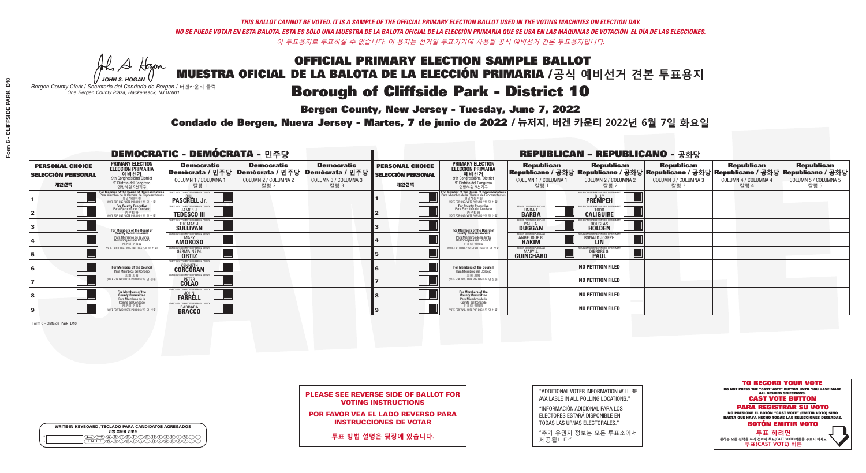**Bergen County, New Jersey - Tuesday, June 7, 2022** 

A Hogen *JOHN S. HOGAN*

| <b>WRITE-IN KEYBOARD /TECLADO PARA CANDIDATOS AGREGADOS</b><br>기명 투표용 키보드 |  |
|---------------------------------------------------------------------------|--|
| A®©®®®®®©©®<br>™®®®®®©™™®®                                                |  |

*Bergen County Clerk / Secretario del Condado de Bergen /* 버겐카운티 클럭 *One Bergen County Plaza, Hackensack, NJ 07601*



PLEASE SEE REVERSE SIDE OF BALLOT FOR VOTING INSTRUCTIONS

POR FAVOR VEA EL LADO REVERSO PARA INSTRUCCIONES DE VOTAR

**투표 방법 설명은 뒷장에 있습니다.**

"ADDITIONAL VOTER INFORMATION WILL BE AVAILABLE IN ALL POLLING LOCATIONS."

"INFORMACIÓN ADICIONAL PARA LOS ELECTORES ESTARÁ DISPONIBLE EN TODAS LAS URNAS ELECTORALES."

"추가 유권자 정보는 모든 투표소에서 제공됩니다"

Condado de Bergen, Nueva Jersey - Martes, 7 de junio de 2022 / 뉴저지, 버겐 카운티 2022년 6월 7일 화요일 *One Bergen County Plaza, Hackensack, NJ 07601*

| <b>DEMOCRATIC - DEMÓCRATA - 민주당</b>                         |                                                                                                                                             |                                                                                                        |                                                   |                                                   |                                                             |                                                                                                                                               |                                                            | <b>REPUBLICAN - REPUBLICANO - 공화당</b>                                                                                                          |                                                   |                                                   |                                                   |
|-------------------------------------------------------------|---------------------------------------------------------------------------------------------------------------------------------------------|--------------------------------------------------------------------------------------------------------|---------------------------------------------------|---------------------------------------------------|-------------------------------------------------------------|-----------------------------------------------------------------------------------------------------------------------------------------------|------------------------------------------------------------|------------------------------------------------------------------------------------------------------------------------------------------------|---------------------------------------------------|---------------------------------------------------|---------------------------------------------------|
| <b>PERSONAL CHOICE</b><br><b>SELECCIÓN PERSONAL</b><br>개인선택 | <b>PRIMARY ELECTION</b><br><b>ELECCIÓN PRIMARIA</b><br>예비선거<br>애비선거<br>9° Distrito del Congreso<br>연방하원 9선거구                                | <b>Democratic</b><br>│Demócrata / 민주당│Demócrata / 민주당│Demócrata / 민주당┃<br>COLUMN 1 / COLUMNA ·<br>칼럼 : | <b>Democratic</b><br>COLUMN 2 / COLUMNA 2<br>칼럼 2 | <b>Democratic</b><br>COLUMN 3 / COLUMNA 3<br>칼럼 3 | <b>PERSONAL CHOICE</b><br><b>SELECCIÓN PERSONAL</b><br>개인선택 | <b>PRIMARY ELECTION</b><br>ELECCIÓN PRIMARIA<br>예비선거<br>9th Congressional District<br>9° Distrito del Congreso<br>연방하원 9선거구                   | <b>Republican</b><br>COLUMN 1 / COLUMNA 1<br>칼럼 :          | <b>Republican</b><br>Republicano / 공화당 Republicano / 공화당 Republicano / 공화당 Republicano / 공화당 Republicano / 공화당<br>COLUMN 2 / COLUMNA 2<br>칼럼 2 | <b>Republican</b><br>COLUMN 3 / COLUMNA 3<br>칼럼 3 | <b>Republican</b><br>COLUMN 4 / COLUMNA 4<br>칼럼 4 | <b>Republican</b><br>COLUMN 5 / COLUMNA 5<br>칼럼 5 |
|                                                             | or Member of the House of Representatives<br>ara Miembro de la Cámara de Representantes<br>연방하원의원<br>(VOTE FOR ONE / VOTE POR UNO / 한 명 선출) | CRATIC COMMITTEE OF BERGEN CI<br><b>PASCRELL Jr.</b>                                                   |                                                   |                                                   |                                                             | For Member of the House of Representatives<br>Para Miembro de la Cámara de Representantes<br>연방하원의원<br>(VOTE FOR ONE / VOTE POR UNO / 한 명 선출) |                                                            | PUBLICANS FOR RESPONSIBLE GOVERNM<br><b>PREMPEH</b>                                                                                            |                                                   |                                                   |                                                   |
|                                                             | For County Executive<br>Para Ejecutivo del Condado<br>(VOTE FOR ONE / VOTE POR UNO / 한 명 선출)                                                | EMOCRATIC COMMITTEE OF BERGEN COUNTY<br><b>TEDESCO III</b>                                             |                                                   |                                                   |                                                             | For County Executive<br>Para Ejecutivo del Condado<br>. 카운티장<br>(VOTE FOR ONE / VOTE POR UNO / 한 명 선출)                                        | BERGEN COUNTY REPUBLICAN<br>LINDA T.                       | <b>CALIGUIRE</b>                                                                                                                               |                                                   |                                                   |                                                   |
|                                                             | For Members of the Board of<br>County Commissioners                                                                                         | MOCRATIC COMMITTEE OF BERGEN COUNTY<br>THOMAS J.                                                       |                                                   |                                                   |                                                             | For Members of the Board of<br>County Commissioners                                                                                           | ERGEN COUNTY REPUBLICAN<br><b>PAUL A.</b><br><b>DUGGAN</b> | <b>DOUGLAS</b>                                                                                                                                 |                                                   |                                                   |                                                   |
|                                                             | Para Miembros de la Junta<br>De Concejales del Condado<br>카우티 위원들                                                                           | MOCRATIC COMMITTEE OF BERGEN COUNTY<br><b>AMOROSO</b>                                                  |                                                   |                                                   |                                                             | Para Miembros de la Junta<br>De Concejales del Condado<br>카운티 위원들                                                                             | ERGEN COUNTY REPUBLICAN<br>ANGELIQUE R                     | RONALD JOSEPH                                                                                                                                  |                                                   |                                                   |                                                   |
|                                                             | (VOTE FOR THREE / VOTE POR TRES / 세 명 선출)                                                                                                   | ATIC COMMITTEE OF BERGEN COUN<br><b>GERMAINE M.</b>                                                    |                                                   |                                                   |                                                             | (VOTE FOR THREE / VOTE POR TRES / 세 명 선출)                                                                                                     | ERGEN COUNTY REPUBLICANS<br>MARY J<br>GUINCHARD            | DIERDRE G                                                                                                                                      |                                                   |                                                   |                                                   |
|                                                             | For Members of the Council<br>Para Miembros del Conceio                                                                                     | MOCRATIC COMMITTEE OF BERGEN COUNTY<br><b>CORCORAN</b>                                                 |                                                   |                                                   |                                                             | <b>For Members of the Council</b><br>Para Miembros del Conceio                                                                                |                                                            | <b>NO PETITION FILED</b>                                                                                                                       |                                                   |                                                   |                                                   |
|                                                             | 의회 의원<br>(VOTE FOR TWO / VOTE POR DOS / 두 명 선출)                                                                                             | EMOCRATIC COMMITTEE OF BERGEN COUNTY<br><b>COLAO</b>                                                   |                                                   |                                                   |                                                             | 의회 의원<br>NOTE FOR TWO / VOTE POR DOS / 두 명 선출)                                                                                                |                                                            | <b>NO PETITION FILED</b>                                                                                                                       |                                                   |                                                   |                                                   |
|                                                             | For Members of the<br>County Committee<br>Para Miembros de la                                                                               | <b>MOCRATIC COMMITTEE OF BERGEN CO</b><br><b>FARRELL</b>                                               |                                                   |                                                   |                                                             | For Members of the<br>County Committee<br>Para Miembros de la<br>Comité del Condado                                                           |                                                            | <b>NO PETITION FILED</b>                                                                                                                       |                                                   |                                                   |                                                   |
|                                                             | Comité del Condado<br>카운티 위원회<br>(VOTE FOR TWO / VOTE POR DOS / 두 명 선출)                                                                     | <b>CRATIC COMMITTEE OF BEBGEN C</b><br><b>BARBARA</b><br><b>BRACCO</b>                                 |                                                   |                                                   |                                                             | 카운티 위원회<br>(VOTE FOR TWO / VOTE POR DOS / 두 명 선출)                                                                                             |                                                            | <b>NO PETITION FILED</b>                                                                                                                       |                                                   |                                                   |                                                   |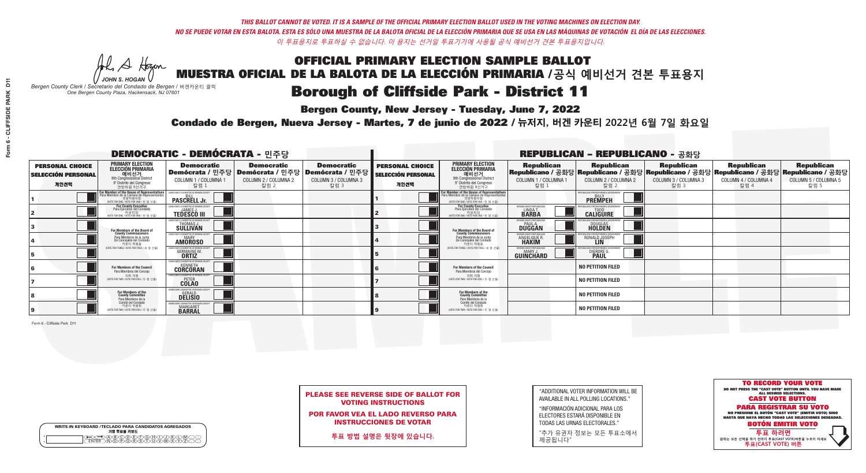**Bergen County, New Jersey - Tuesday, June 7, 2022** 

A Hogen *JOHN S. HOGAN*

| <b>WRITE-IN KEYBOARD /TECLADO PARA CANDIDATOS AGREGADOS</b><br>기명 투표용 키보드 |  |
|---------------------------------------------------------------------------|--|
| A®©®®©©®®©©®<br>™™™®®®®©™™™®                                              |  |

*Bergen County Clerk / Secretario del Condado de Bergen /* 버겐카운티 클럭 *One Bergen County Plaza, Hackensack, NJ 07601*



PLEASE SEE REVERSE SIDE OF BALLOT FOR VOTING INSTRUCTIONS

POR FAVOR VEA EL LADO REVERSO PARA INSTRUCCIONES DE VOTAR

**투표 방법 설명은 뒷장에 있습니다.**

| "ADDITIONAL VOTER INFORMATION WILL BE |
|---------------------------------------|
| AVAILABLE IN ALL POLLING LOCATIONS."  |

"INFORMACIÓN ADICIONAL PARA LOS ELECTORES ESTARÁ DISPONIBLE EN TODAS LAS URNAS ELECTORALES."

"추가 유권자 정보는 모든 투표소에서 제공됩니다"

Condado de Bergen, Nueva Jersey - Martes, 7 de junio de 2022 / 뉴저지, 버겐 카운티 2022년 6월 7일 화요일 *One Bergen County Plaza, Hackensack, NJ 07601*

| <b>DEMOCRATIC - DEMÓCRATA - 민주당</b>                         |                                                                                                                                                   |                                                                     |                                                   |                                                                                                        |                                                             |                                                                                                                                               |                                                               | <b>REPUBLICAN - REPUBLICANO - 공화당</b>                                                                                                          |                                                   |                                                   |                                                   |
|-------------------------------------------------------------|---------------------------------------------------------------------------------------------------------------------------------------------------|---------------------------------------------------------------------|---------------------------------------------------|--------------------------------------------------------------------------------------------------------|-------------------------------------------------------------|-----------------------------------------------------------------------------------------------------------------------------------------------|---------------------------------------------------------------|------------------------------------------------------------------------------------------------------------------------------------------------|---------------------------------------------------|---------------------------------------------------|---------------------------------------------------|
| <b>PERSONAL CHOICE</b><br><b>SELECCIÓN PERSONAL</b><br>개인선택 | <b>PRIMARY ELECTION</b><br><b>ELECCIÓN PRIMARIA</b><br>예비선거<br>애비선거<br>9° Distrito del Congreso<br>연방하원 9선거구                                      | <b>Democratic</b><br>COLUMN 1 / COLUMNA 1<br>칼럼 :                   | <b>Democratic</b><br>COLUMN 2 / COLUMNA 2<br>칼럼 2 | <b>Democratic</b><br>│Demócrata / 민주당│Demócrata / 민주당│Demócrata / 민주당┃<br>COLUMN 3 / COLUMNA 3<br>칼럼 3 | <b>PERSONAL CHOICE</b><br><b>SELECCIÓN PERSONAL</b><br>개인선택 | <b>PRIMARY ELECTION</b><br>ELECCIÓN PRIMARIA<br>예비선거<br>9th Congressional District<br>9° Distrito del Congreso<br>연방하원 9선거구                   | <b>Republican</b><br>COLUMN 1 / COLUMNA 1<br>칼럼               | <b>Republican</b><br>Republicano / 공화당 Republicano / 공화당 Republicano / 공화당 Republicano / 공화당 Republicano / 공화당<br>COLUMN 2 / COLUMNA 2<br>칼럼 2 | <b>Republican</b><br>COLUMN 3 / COLUMNA 3<br>칼럼 3 | <b>Republican</b><br>COLUMN 4 / COLUMNA 4<br>칼럼 4 | <b>Republican</b><br>COLUMN 5 / COLUMNA 5<br>칼럼 5 |
|                                                             | <b>r Member of the House of Representatives</b><br>ara Miembro de la Cámara de Representantes<br>연방하원의원<br>(VOTE FOR ONE / VOTE POR UNO / 한 명 선출) | DEMOCRATIC COMMITTEE OF BERGEN C<br><b>PASCRELL Jr.</b>             |                                                   |                                                                                                        |                                                             | For Member of the House of Representatives<br>Para Miembro de la Cámara de Representantes<br>연방하원의원<br>(VOTE FOR ONE / VOTE POR UNO / 한 명 선출) |                                                               | PUBLICANS FOR RESPONSIBLE GOVERNI<br><b>PREMPEH</b>                                                                                            |                                                   |                                                   |                                                   |
|                                                             | <b>For County Executive</b><br>Para Ejecutivo del Condado<br>가운티장<br>(VOTE FOR ONE / VOTE POR UNO / 한 명 선출)                                       | DEMOCRATIC COMMITTEE OF BERGEN COUNTY<br><b>TEDESCO III</b>         |                                                   |                                                                                                        |                                                             | For County Executive<br>Para Ejecutivo del Condado<br>. 카운티장<br>(VOTE FOR ONE / VOTE POR UNO / 한 명 선출)                                        | BERGEN COUNTY REPUBLICAN<br><b>LINDAT</b><br><b>BARBA</b>     | <b>CALIGUIRE</b>                                                                                                                               |                                                   |                                                   |                                                   |
|                                                             | For Members of the Board of<br>County Commissioners                                                                                               | MOCRATIC COMMITTEE OF BERGEN COUNTY<br>THOMAS J.                    |                                                   |                                                                                                        |                                                             | For Members of the Board of<br>County Commissioners                                                                                           | ERGEN COUNTY REPUBLICAN<br><b>PAUL A.</b><br><b>DUGGAN</b>    | <b>DOUGLAS</b>                                                                                                                                 |                                                   |                                                   |                                                   |
|                                                             | Para Miembros de la Junta<br>De Concejales del Condado<br>카우티 위원들                                                                                 | MOCRATIC COMMITTEE OF BERGEN COUNTY<br><b>AMOROSO</b>               |                                                   |                                                                                                        |                                                             | Para Miembros de la Junta<br>De Concejales del Condado<br>카우티 위원들                                                                             | ERGEN COUNTY REPUBLICAN<br><b>ANGELIQUE F</b><br><b>HAKIM</b> | RONALD JOSEPH                                                                                                                                  |                                                   |                                                   |                                                   |
|                                                             | (VOTE FOR THREE / VOTE POR TRES / 세 명 선출)                                                                                                         | ATIC COMMITTEE OF BERGEN COUN<br><b>GERMAINE M.</b><br><b>ORTIZ</b> |                                                   |                                                                                                        |                                                             | (VOTE FOR THREE / VOTE POR TRES / 세 명 선출)                                                                                                     | ERGEN COUNTY REPUBLICANS<br>MARY J<br>GUINCHARD               | DIERDRE G                                                                                                                                      |                                                   |                                                   |                                                   |
|                                                             | <b>For Members of the Council</b><br>Para Miembros del Conceio                                                                                    | MOCRATIC COMMITTEE OF BERGEN COUNT<br><b>CORCORAN</b>               |                                                   |                                                                                                        |                                                             | <b>For Members of the Council</b><br>Para Miembros del Conceio                                                                                |                                                               | <b>NO PETITION FILED</b>                                                                                                                       |                                                   |                                                   |                                                   |
|                                                             | 의회 의원<br>(VOTE FOR TWO / VOTE POR DOS / 두 명 선출)                                                                                                   | EMOCRATIC COMMITTEE OF BERGEN COUNTY<br><b>COLAO</b>                |                                                   |                                                                                                        |                                                             | 의회 의원<br>NOTE FOR TWO / VOTE POR DOS / 두 명 선출)                                                                                                |                                                               | <b>NO PETITION FILED</b>                                                                                                                       |                                                   |                                                   |                                                   |
|                                                             | For Members of the<br>County Committee<br>Para Miembros de la                                                                                     | RATIC COMMITTEE OF BERGEN (<br><b>OERALD</b>                        |                                                   |                                                                                                        |                                                             | For Members of the<br>County Committee<br>Para Miembros de la<br>Comité del Condado                                                           |                                                               | <b>NO PETITION FILED</b>                                                                                                                       |                                                   |                                                   |                                                   |
|                                                             | Comité del Condado<br>카운티 위원회<br>(VOTE FOR TWO / VOTE POR DOS / 두 명 선출)                                                                           | C COMMITTEE OF BERGEN C<br><b>MARGARET</b><br><b>BARRAL</b>         |                                                   |                                                                                                        |                                                             | 카운티 위원회<br>(VOTE FOR TWO / VOTE POR DOS / 두 명 선출)                                                                                             |                                                               | <b>NO PETITION FILED</b>                                                                                                                       |                                                   |                                                   |                                                   |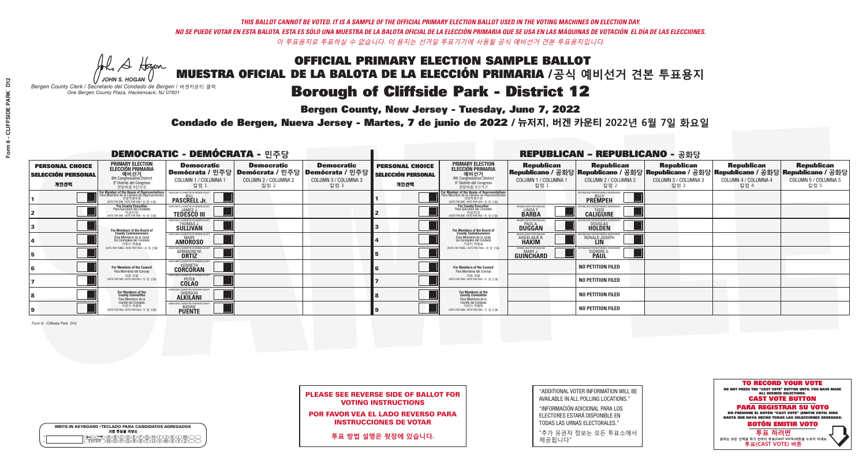**Bergen County, New Jersey - Tuesday, June 7, 2022** 

A Hogen *JOHN S. HOGAN*

| <b>WRITE-IN KEYBOARD /TECLADO PARA CANDIDATOS AGREGADOS</b><br>기명 투표용 키보드 |
|---------------------------------------------------------------------------|
| DA(B)C(D)(E)(F)(G)(H)(T)<br><b>ŇŎĔŎŔĔŔĨ</b>                               |

*Bergen County Clerk / Secretario del Condado de Bergen /* 버겐카운티 클럭 *One Bergen County Plaza, Hackensack, NJ 07601*



PLEASE SEE REVERSE SIDE OF BALLOT FOR VOTING INSTRUCTIONS

POR FAVOR VEA EL LADO REVERSO PARA INSTRUCCIONES DE VOTAR

**투표 방법 설명은 뒷장에 있습니다.**

| "ADDITIONAL VOTER INFORMATION WILL BE |
|---------------------------------------|
| AVAILABLE IN ALL POLLING LOCATIONS."  |

"INFORMACIÓN ADICIONAL PARA LOS ELECTORES ESTARÁ DISPONIBLE EN TODAS LAS URNAS ELECTORALES."

"추가 유권자 정보는 모든 투표소에서 제공됩니다"

Condado de Bergen, Nueva Jersey - Martes, 7 de junio de 2022 / 뉴저지, 버겐 카운티 2022년 6월 7일 화요일 *One Bergen County Plaza, Hackensack, NJ 07601*

| <b>DEMOCRATIC - DEMÓCRATA - 민주당</b>                         |                                                                                                                                                   |                                                                     |                                                   |                                                                                                        |                                                             |                                                                                                                                               |                                                               | <b>REPUBLICAN - REPUBLICANO - 공화당</b>                                                                                                          |                                                   |                                                   |                                                   |
|-------------------------------------------------------------|---------------------------------------------------------------------------------------------------------------------------------------------------|---------------------------------------------------------------------|---------------------------------------------------|--------------------------------------------------------------------------------------------------------|-------------------------------------------------------------|-----------------------------------------------------------------------------------------------------------------------------------------------|---------------------------------------------------------------|------------------------------------------------------------------------------------------------------------------------------------------------|---------------------------------------------------|---------------------------------------------------|---------------------------------------------------|
| <b>PERSONAL CHOICE</b><br><b>SELECCIÓN PERSONAL</b><br>개인선택 | <b>PRIMARY ELECTION</b><br><b>ELECCIÓN PRIMARIA</b><br>예비선거<br>애비선거<br>9° Distrito del Congreso<br>연방하원 9선거구                                      | <b>Democratic</b><br>COLUMN 1 / COLUMNA 1<br>칼럼 :                   | <b>Democratic</b><br>COLUMN 2 / COLUMNA 2<br>칼럼 2 | <b>Democratic</b><br>│Demócrata / 민주당│Demócrata / 민주당│Demócrata / 민주당┃<br>COLUMN 3 / COLUMNA 3<br>칼럼 3 | <b>PERSONAL CHOICE</b><br><b>SELECCIÓN PERSONAL</b><br>개인선택 | <b>PRIMARY ELECTION</b><br>ELECCIÓN PRIMARIA<br>예비선거<br>9th Congressional District<br>9° Distrito del Congreso<br>연방하원 9선거구                   | <b>Republican</b><br>COLUMN 1 / COLUMNA 1<br>칼럼               | <b>Republican</b><br>Republicano / 공화당 Republicano / 공화당 Republicano / 공화당 Republicano / 공화당 Republicano / 공화당<br>COLUMN 2 / COLUMNA 2<br>칼럼 2 | <b>Republican</b><br>COLUMN 3 / COLUMNA 3<br>칼럼 3 | <b>Republican</b><br>COLUMN 4 / COLUMNA 4<br>칼럼 4 | <b>Republican</b><br>COLUMN 5 / COLUMNA 5<br>칼럼 5 |
|                                                             | <b>r Member of the House of Representatives</b><br>ara Miembro de la Cámara de Representantes<br>연방하원의원<br>(VOTE FOR ONE / VOTE POR UNO / 한 명 선출) | DEMOCRATIC COMMITTEE OF BERGEN C<br><b>PASCRELL Jr.</b>             |                                                   |                                                                                                        |                                                             | For Member of the House of Representatives<br>Para Miembro de la Cámara de Representantes<br>연방하원의원<br>(VOTE FOR ONE / VOTE POR UNO / 한 명 선출) |                                                               | PUBLICANS FOR RESPONSIBLE GOVERNM<br><b>PREMPEH</b>                                                                                            |                                                   |                                                   |                                                   |
|                                                             | <b>For County Executive</b><br>Para Ejecutivo del Condado<br>가운티장<br>(VOTE FOR ONE / VOTE POR UNO / 한 명 선출)                                       | DEMOCRATIC COMMITTEE OF BERGEN COUNTY<br><b>TEDESCO III</b>         |                                                   |                                                                                                        |                                                             | For County Executive<br>Para Ejecutivo del Condado<br>. 카운티장<br>(VOTE FOR ONE / VOTE POR UNO / 한 명 선출)                                        | BERGEN COUNTY REPUBLICAN<br><b>LINDAT</b><br><b>BARBA</b>     | <b>CALIGUIRE</b>                                                                                                                               |                                                   |                                                   |                                                   |
|                                                             | For Members of the Board of<br>County Commissioners                                                                                               | MOCRATIC COMMITTEE OF BERGEN COUNTY<br>THOMAS J.                    |                                                   |                                                                                                        |                                                             | For Members of the Board of<br>County Commissioners                                                                                           | ERGEN COUNTY REPUBLICAN<br><b>PAUL A.</b><br><b>DUGGAN</b>    | <b>DOUGLAS</b><br><b>HOLDEN</b>                                                                                                                |                                                   |                                                   |                                                   |
|                                                             | Para Miembros de la Junta<br>De Concejales del Condado<br>카우티 위원들                                                                                 | MOCRATIC COMMITTEE OF BERGEN COUNTY<br><b>AMOROSO</b>               |                                                   |                                                                                                        |                                                             | Para Miembros de la Junta<br>De Concejales del Condado<br>카우티 위원들                                                                             | ERGEN COUNTY REPUBLICAN<br><b>ANGELIQUE F</b><br><b>HAKIM</b> | RONALD JOSEPH                                                                                                                                  |                                                   |                                                   |                                                   |
|                                                             | (VOTE FOR THREE / VOTE POR TRES / 세 명 선출)                                                                                                         | ATIC COMMITTEE OF BERGEN COUN<br><b>GERMAINE M.</b><br><b>ORTIZ</b> |                                                   |                                                                                                        |                                                             | (VOTE FOR THREE / VOTE POR TRES / 세 명 선출)                                                                                                     | ERGEN COUNTY REPUBLICANS<br>MARY J<br>GUINCHARD               | DIERDRE G                                                                                                                                      |                                                   |                                                   |                                                   |
|                                                             | <b>For Members of the Council</b><br>Para Miembros del Conceio                                                                                    | MOCRATIC COMMITTEE OF BERGEN COUNT<br><b>CORCORAN</b>               |                                                   |                                                                                                        |                                                             | <b>For Members of the Council</b><br>Para Miembros del Concejo                                                                                |                                                               | <b>NO PETITION FILED</b>                                                                                                                       |                                                   |                                                   |                                                   |
|                                                             | 의회 의원<br>(VOTE FOR TWO / VOTE POR DOS / 두 명 선출)                                                                                                   | EMOCRATIC COMMITTEE OF BERGEN COUNTY<br><b>COLAO</b>                |                                                   |                                                                                                        |                                                             | 의회 의원<br>NOTE FOR TWO / VOTE POR DOS / 두 명 선출)                                                                                                |                                                               | <b>NO PETITION FILED</b>                                                                                                                       |                                                   |                                                   |                                                   |
|                                                             | For Members of the<br>County Committee<br>Para Miembros de la                                                                                     | CRATIC COMMITTEE OF BERGEN (<br>SHERGOH<br><b>ALKILANI</b>          |                                                   |                                                                                                        |                                                             | For Members of the<br>County Committee<br>Para Miembros de la<br>Comité del Condado                                                           |                                                               | <b>NO PETITION FILED</b>                                                                                                                       |                                                   |                                                   |                                                   |
|                                                             | Comité del Condado<br>카운티 위원회<br>(VOTE FOR TWO / VOTE POR DOS / 두 명 선출)                                                                           | CRATIC COMMITTEE OF BERGEN COL<br><b>PUENTE</b>                     |                                                   |                                                                                                        |                                                             | 카운티 위원회<br>(VOTE FOR TWO / VOTE POR DOS / 두 명 선출)                                                                                             |                                                               | <b>NO PETITION FILED</b>                                                                                                                       |                                                   |                                                   |                                                   |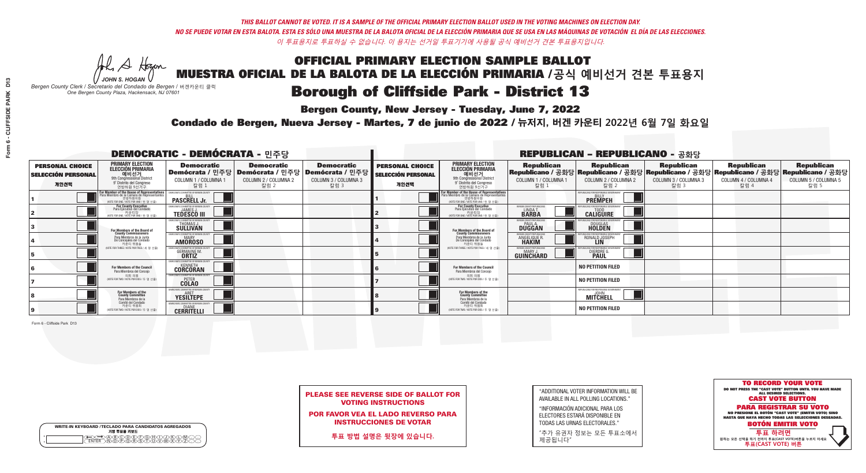**Bergen County, New Jersey - Tuesday, June 7, 2022** 

A Hogen *JOHN S. HOGAN*

|   | <b>WRITE-IN KEYBOARD /TECLADO PARA CANDIDATOS AGREGADOS</b><br>기명 투표용 키보드 |
|---|---------------------------------------------------------------------------|
| o | <b>BODE/FIGHX</b>                                                         |
| o | <u> እቅነሽነጅነጅነች</u>                                                        |

*Bergen County Clerk / Secretario del Condado de Bergen /* 버겐카운티 클럭 *One Bergen County Plaza, Hackensack, NJ 07601*



PLEASE SEE REVERSE SIDE OF BALLOT FOR VOTING INSTRUCTIONS

POR FAVOR VEA EL LADO REVERSO PARA INSTRUCCIONES DE VOTAR

**투표 방법 설명은 뒷장에 있습니다.**

| "ADDITIONAL VOTER INFORMATION WILL BE |
|---------------------------------------|
| AVAILABLE IN ALL POLLING LOCATIONS."  |

"INFORMACIÓN ADICIONAL PARA LOS ELECTORES ESTARÁ DISPONIBLE EN TODAS LAS URNAS ELECTORALES."

"추가 유권자 정보는 모든 투표소에서 제공됩니다"

Condado de Bergen, Nueva Jersey - Martes, 7 de junio de 2022 / 뉴저지, 버겐 카운티 2022년 6월 7일 화요일 *One Bergen County Plaza, Hackensack, NJ 07601*

| <b>DEMOCRATIC - DEMÓCRATA - 민주당</b>                         |                                                                                                                                               |                                                                     |                                                   |                                                                                                        |                                                             |                                                                                                                             |                                                                | <b>REPUBLICAN - REPUBLICANO - 공화당</b>                                                                                                          |                                                   |                                                   |                                                   |
|-------------------------------------------------------------|-----------------------------------------------------------------------------------------------------------------------------------------------|---------------------------------------------------------------------|---------------------------------------------------|--------------------------------------------------------------------------------------------------------|-------------------------------------------------------------|-----------------------------------------------------------------------------------------------------------------------------|----------------------------------------------------------------|------------------------------------------------------------------------------------------------------------------------------------------------|---------------------------------------------------|---------------------------------------------------|---------------------------------------------------|
| <b>PERSONAL CHOICE</b><br><b>SELECCIÓN PERSONAL</b><br>개인선택 | <b>PRIMARY ELECTION</b><br><b>ELECCIÓN PRIMARIA</b><br>예비선거<br><sup>9th</sup> Congressional District<br>9° Distrito del Congreso<br>연방하원 9선거구 | <b>Democratic</b><br>COLUMN 1 / COLUMNA 1<br>칼럼 1                   | <b>Democratic</b><br>COLUMN 2 / COLUMNA 2<br>칼럼 2 | <b>Democratic</b><br>│Demócrata / 민주당│Demócrata / 민주당│Demócrata / 민주당│<br>COLUMN 3 / COLUMNA 3<br>칼럼 3 | <b>PERSONAL CHOICE</b><br><b>SELECCIÓN PERSONAL</b><br>개인선택 | <b>PRIMARY ELECTION</b><br>ELECCIÓN PRIMARIA<br>예비선거<br>9th Congressional District<br>9° Distrito del Congreso<br>연방하원 9선거구 | <b>Republican</b><br>COLUMN 1 / COLUMNA 1<br>칼럼 :              | <b>Republican</b><br>Republicano / 공화당 Republicano / 공화당 Republicano / 공화당 Republicano / 공화당 Republicano / 공화당<br>COLUMN 2 / COLUMNA 2<br>칼럼 2 | <b>Republican</b><br>COLUMN 3 / COLUMNA 3<br>칼럼 3 | <b>Republican</b><br>COLUMN 4 / COLUMNA 4<br>칼럼 4 | <b>Republican</b><br>COLUMN 5 / COLUMNA 5<br>칼럼 5 |
|                                                             | or Member of the House of Representatives<br>ara Miembro de la Cámara de Representantes<br>연방하원의원<br>WOTE FOR ONE / VOTE POR UNO / 한 명 선출     | DEMOCRATIC COMMITTEE OF BERGEN COUNT<br><b>PASCRELL Jr.</b>         |                                                   |                                                                                                        |                                                             | For Member of the House of Representatives<br>Para Miembro de la Cámara de Representantes                                   |                                                                | PUBLICANS FOR RESPONSIBLE GOVERNMEN<br><b>PREMPEH</b>                                                                                          |                                                   |                                                   |                                                   |
|                                                             | <b>For County Executive</b><br>Para Ejecutivo del Condado<br>가운티장 - 카운티장<br>(VOTE FOR ONE / VOTE POR UNO / 한 명 선출)                            | )EMOCRATIC COMMITTEE OF BERGEN COUNT<br><b>TEDESCO III</b>          |                                                   |                                                                                                        |                                                             | For County Executive<br>Para Ejecutivo del Condado<br>WOTE FOR ONE / VOTE POR UNO / 한 명 선출)                                 | BERGEN COUNTY REPUBLICAN<br>LINDA T.                           | <b>CALIGUIRE</b>                                                                                                                               |                                                   |                                                   |                                                   |
|                                                             | For Members of the Board of<br>County Commissioners                                                                                           | MOCRATIC COMMITTEE OF BERGEN COUNTY<br>THOMAS J.                    |                                                   |                                                                                                        |                                                             | For Members of the Board of<br>County Commissioners                                                                         | ERGEN COUNTY REPUBLICAN<br><b>PAUL A.</b><br><b>DUGGAN</b>     | <b>DOUGLAS</b>                                                                                                                                 |                                                   |                                                   |                                                   |
|                                                             | Para Miembros de la Junta<br>De Concejales del Condado<br>카우티 위원들                                                                             | <b><i>MOCRATIC COMMITTEE OF BERGEN COUNTY</i></b><br><b>AMOROSO</b> |                                                   |                                                                                                        |                                                             | Para Miembros de la Junta<br>De Concejales del Condado<br>카우티 위원들                                                           | <b>ERGEN COUNTY REPUBLICAN</b><br><b>ANGELIQUE R<br/>HAKIM</b> | RONALD JOSEPH                                                                                                                                  |                                                   |                                                   |                                                   |
|                                                             | NOTE FOR THREE / VOTE POR TRES / 세 명 선출)                                                                                                      | RATIC COMMITTEE OF BERGEN COUN'<br><b>GERMAINE M.</b>               |                                                   |                                                                                                        |                                                             | (VOTE FOR THREE / VOTE POR TRES / 세 명 선출)                                                                                   | ERGEN COUNTY REPUBLICANS<br>MARY J<br>GUINCHARD                | <b>DIERDRE G</b><br><b>PAUL</b>                                                                                                                |                                                   |                                                   |                                                   |
|                                                             | <b>For Members of the Council</b><br>Para Miembros del Conceio                                                                                | <b><i>MOCRATIC COMMITTEE OF BERGEN COL</i></b><br><b>CORCORAN</b>   |                                                   |                                                                                                        |                                                             | <b>For Members of the Council</b><br>Para Miembros del Conceio                                                              |                                                                | <b>NO PETITION FILED</b>                                                                                                                       |                                                   |                                                   |                                                   |
|                                                             | 의회 의원<br>(VOTE FOR TWO / VOTE POR DOS / 두 명 선출)                                                                                               | <b>EMOCRATIC COMMITTEE OF BERGEN COUNTY</b><br><b>COLAO</b>         |                                                   |                                                                                                        |                                                             | 의회 의원<br>NOTE FOR TWO / VOTE POR DOS / 두 명 선출)                                                                              |                                                                | <b>NO PETITION FILED</b>                                                                                                                       |                                                   |                                                   |                                                   |
|                                                             | For Members of the<br>County Committee<br>Para Miembros de la                                                                                 | MOCRATIC COMMITTEE OF BERGEN<br><b>YESILTEPE</b>                    |                                                   |                                                                                                        |                                                             | For Members of the<br>County Committee<br>Para Miembros de la<br>Comité del Condado                                         |                                                                | IFPUBLICANS FOR RESPONSIBLE GO<br>MITCHELL                                                                                                     |                                                   |                                                   |                                                   |
|                                                             | Comité del Condado<br>카운티 위원회<br>(VOTE FOR TWO / VOTE POR DOS / 두 명 선출)                                                                       | EMOCRATIC COMMITTEE OF RERGEN CO<br><b>CERRITELLI</b>               |                                                   |                                                                                                        |                                                             | 카운티 위원회<br>NOTE FOR TWO / VOTE POR DOS / 두 명 선출)                                                                            |                                                                | <b>NO PETITION FILED</b>                                                                                                                       |                                                   |                                                   |                                                   |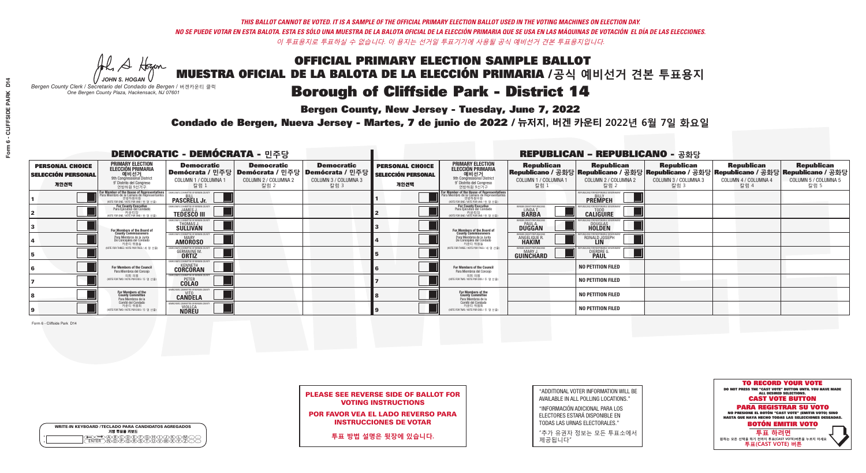**Bergen County, New Jersey - Tuesday, June 7, 2022** 

A Hogen *JOHN S. HOGAN*

| <b>WRITE-IN KEYBOARD /TECLADO PARA CANDIDATOS AGREGADOS</b><br>기명 투표용 키보드 |  |
|---------------------------------------------------------------------------|--|
| )BCDDE/F)G/H)(T)<br>ነ <u>ቅ</u> ለአል የአ                                     |  |

*Bergen County Clerk / Secretario del Condado de Bergen /* 버겐카운티 클럭 *One Bergen County Plaza, Hackensack, NJ 07601*



PLEASE SEE REVERSE SIDE OF BALLOT FOR VOTING INSTRUCTIONS

POR FAVOR VEA EL LADO REVERSO PARA INSTRUCCIONES DE VOTAR

**투표 방법 설명은 뒷장에 있습니다.**

"ADDITIONAL VOTER INFORMATION WILL BE AVAILABLE IN ALL POLLING LOCATIONS."

"INFORMACIÓN ADICIONAL PARA LOS ELECTORES ESTARÁ DISPONIBLE EN TODAS LAS URNAS ELECTORALES."

"추가 유권자 정보는 모든 투표소에서 제공됩니다"

Condado de Bergen, Nueva Jersey - Martes, 7 de junio de 2022 / 뉴저지, 버겐 카운티 2022년 6월 7일 화요일 *One Bergen County Plaza, Hackensack, NJ 07601*

| <b>DEMOCRATIC - DEMÓCRATA - 민주당</b>                         |                                                                                                                                             |                                                                        |                                                   |                                                                                            | <b>REPUBLICAN - REPUBLICANO - 공화당</b>                       |                                                                                                                                                       |                                                               |                                                                                                                                                |                                                   |                                                   |                                                   |
|-------------------------------------------------------------|---------------------------------------------------------------------------------------------------------------------------------------------|------------------------------------------------------------------------|---------------------------------------------------|--------------------------------------------------------------------------------------------|-------------------------------------------------------------|-------------------------------------------------------------------------------------------------------------------------------------------------------|---------------------------------------------------------------|------------------------------------------------------------------------------------------------------------------------------------------------|---------------------------------------------------|---------------------------------------------------|---------------------------------------------------|
| <b>PERSONAL CHOICE</b><br><b>SELECCIÓN PERSONAL</b><br>개인선택 | <b>PRIMARY ELECTION</b><br>ELECCIÓN PRIMARIA<br>예비선거<br><sup>9th</sup> Congressional District<br>9° Distrito del Congreso<br>연방하원 9선거구      | <b>Democratic</b><br>│Demócrata / 민주당│<br>COLUMN 1 / COLUMNA 1<br>칼럼 : | <b>Democratic</b><br>COLUMN 2 / COLUMNA 2<br>칼럼 2 | <b>Democratic</b><br>  Demócrata / 민주당   Demócrata / 민주당  <br>COLUMN 3 / COLUMNA 3<br>칼럼 3 | <b>PERSONAL CHOICE</b><br><b>SELECCIÓN PERSONAL</b><br>개인선택 | <b>PRIMARY ELECTION</b><br>ELECCIÓN PRIMARIA<br>예비선거<br>9th Congressional District<br>9° Distrito del Congreso<br>연방하원 9선거구                           | <b>Republican</b><br>COLUMN 1 / COLUMNA 1<br>칼럼               | <b>Republican</b><br>Republicano / 공화당 Republicano / 공화당 Republicano / 공화당 Republicano / 공화당 Republicano / 공화당<br>COLUMN 2 / COLUMNA 2<br>칼럼 2 | <b>Republican</b><br>COLUMN 3 / COLUMNA 3<br>칼럼 3 | <b>Republican</b><br>COLUMN 4 / COLUMNA 4<br>칼럼 4 | <b>Republican</b><br>COLUMN 5 / COLUMNA 5<br>칼럼 5 |
|                                                             | or Member of the House of Representatives<br>ara Miembro de la Cámara de Representantes<br>연방하원의원<br>(VOTE FOR ONE / VOTE POR UNO / 한 명 선출) | CRATIC COMMITTEE OF BERGEN CI<br><b>PASCRELL Jr.</b>                   |                                                   |                                                                                            |                                                             | <b>For Member of the House of Representatives<br/>Para Miembro de la Cámara de Representantes</b><br>연방하원의원<br>(VOTE FOR ONE / VOTE POR UNO / 한 명 선출) |                                                               | PUBLICANS FOR RESPONSIBLE GOVERNI<br><b>PREMPEH</b>                                                                                            |                                                   |                                                   |                                                   |
|                                                             | <b>For County Executive</b><br>Para Ejecutivo del Condado<br>(VOTE FOR ONE / VOTE POR UNO / 한 명 선출)                                         | EMOCRATIC COMMITTEE OF BERGEN COUNTY<br><b>TEDESCO III</b>             |                                                   |                                                                                            |                                                             | For County Executive<br>Para Ejecutivo del Condado<br>카운티장<br>(VOTE FOR ONE / VOTE POR UNO / 한 명 선출)                                                  | BERGEN COUNTY REPUBLICAN<br><b>LINDAT</b><br><b>BARBA</b>     | <b>CALIGUIRE</b>                                                                                                                               |                                                   |                                                   |                                                   |
|                                                             | For Members of the Board of<br>County Commissioners                                                                                         | MOCRATIC COMMITTEE OF BERGEN COUNTY<br>THOMAS J.                       |                                                   |                                                                                            |                                                             | For Members of the Board of<br>County Commissioners                                                                                                   | ERGEN COUNTY REPUBLICAN<br><b>PAUL A.</b><br><b>DUGGAN</b>    | <b>DOUGLAS</b>                                                                                                                                 |                                                   |                                                   |                                                   |
|                                                             | Para Miembros de la Junta<br>De Concejales del Condado<br>카우티 위원들                                                                           | MOCRATIC COMMITTEE OF BERGEN COUNTY<br><b>AMOROSO</b>                  |                                                   |                                                                                            |                                                             | Para Miembros de la Junta<br>De Concejales del Condado<br>카우티 위원들                                                                                     | ERGEN COUNTY REPUBLICAN<br><b>ANGELIQUE F</b><br><b>HAKIM</b> | RONALD JOSEPH                                                                                                                                  |                                                   |                                                   |                                                   |
|                                                             | (VOTE FOR THREE / VOTE POR TRES / 세 명 선출)                                                                                                   | <b>ITIC COMMITTEE OF BERGEN CO</b><br><b>GERMAINE M.</b>               |                                                   |                                                                                            |                                                             | (VOTE FOR THREE / VOTE POR TRES / 세 명 선출)                                                                                                             | ERGEN COUNTY REPUBLICANS<br>MARY J<br>GUINCHARD               | DIERDRE G                                                                                                                                      |                                                   |                                                   |                                                   |
|                                                             | For Members of the Council<br>Para Miembros del Conceio                                                                                     | MOCRATIC COMMITTEE OF BERGEN COUNTY<br><b>CORCORAN</b>                 |                                                   |                                                                                            |                                                             | <b>For Members of the Council</b><br>Para Miembros del Concejo                                                                                        |                                                               | <b>NO PETITION FILED</b>                                                                                                                       |                                                   |                                                   |                                                   |
|                                                             | 의회 의원<br>(VOTE FOR TWO / VOTE POR DOS / 두 명 선출)                                                                                             | EMOCRATIC COMMITTEE OF BERGEN COUNTY<br><b>COLAO</b>                   |                                                   |                                                                                            |                                                             | 의회 의원<br>NOTE FOR TWO / VOTE POR DOS / 두 명 선출)                                                                                                        |                                                               | <b>NO PETITION FILED</b>                                                                                                                       |                                                   |                                                   |                                                   |
|                                                             | For Members of the<br>County Committee<br>Para Miembros de la                                                                               | <b>MOCRATIC COMMITTEE OF BERGEN CO</b><br><b>CANDELA</b>               |                                                   |                                                                                            |                                                             | For Members of the<br>County Committee<br>Para Miembros de la<br>Comité del Condado                                                                   |                                                               | <b>NO PETITION FILED</b>                                                                                                                       |                                                   |                                                   |                                                   |
|                                                             | Comité del Condado<br>카운티 위원회<br>(VOTE FOR TWO / VOTE POR DOS / 두 명 선출)                                                                     | CRATIC COMMITTEE OF BERGEN COU<br><b>NDREU</b>                         |                                                   |                                                                                            |                                                             | 카운티 위원회<br>(VOTE FOR TWO / VOTE POR DOS / 두 명 선출)                                                                                                     |                                                               | <b>NO PETITION FILED</b>                                                                                                                       |                                                   |                                                   |                                                   |